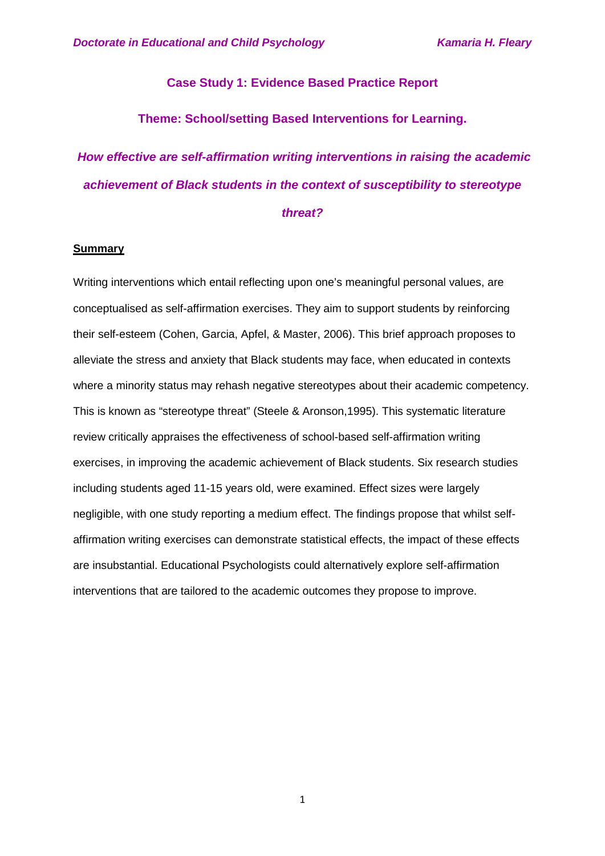### **Case Study 1: Evidence Based Practice Report**

### **Theme: School/setting Based Interventions for Learning.**

# *How effective are self-affirmation writing interventions in raising the academic achievement of Black students in the context of susceptibility to stereotype threat?*

#### **Summary**

Writing interventions which entail reflecting upon one's meaningful personal values, are conceptualised as self-affirmation exercises. They aim to support students by reinforcing their self-esteem (Cohen, Garcia, Apfel, & Master, 2006). This brief approach proposes to alleviate the stress and anxiety that Black students may face, when educated in contexts where a minority status may rehash negative stereotypes about their academic competency. This is known as "stereotype threat" (Steele & Aronson,1995). This systematic literature review critically appraises the effectiveness of school-based self-affirmation writing exercises, in improving the academic achievement of Black students. Six research studies including students aged 11-15 years old, were examined. Effect sizes were largely negligible, with one study reporting a medium effect. The findings propose that whilst selfaffirmation writing exercises can demonstrate statistical effects, the impact of these effects are insubstantial. Educational Psychologists could alternatively explore self-affirmation interventions that are tailored to the academic outcomes they propose to improve.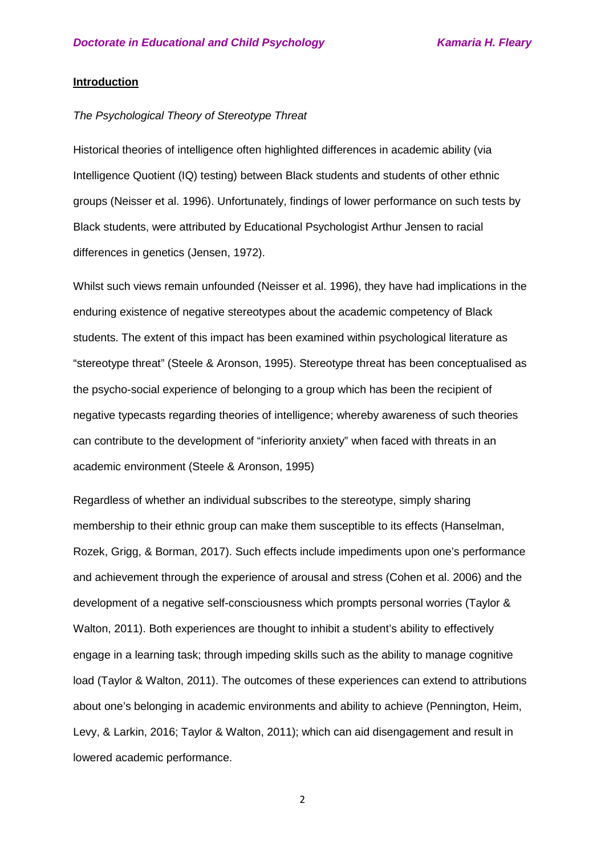#### **Introduction**

#### *The Psychological Theory of Stereotype Threat*

Historical theories of intelligence often highlighted differences in academic ability (via Intelligence Quotient (IQ) testing) between Black students and students of other ethnic groups (Neisser et al. 1996). Unfortunately, findings of lower performance on such tests by Black students, were attributed by Educational Psychologist Arthur Jensen to racial differences in genetics (Jensen, 1972).

Whilst such views remain unfounded (Neisser et al. 1996), they have had implications in the enduring existence of negative stereotypes about the academic competency of Black students. The extent of this impact has been examined within psychological literature as "stereotype threat" (Steele & Aronson, 1995). Stereotype threat has been conceptualised as the psycho-social experience of belonging to a group which has been the recipient of negative typecasts regarding theories of intelligence; whereby awareness of such theories can contribute to the development of "inferiority anxiety" when faced with threats in an academic environment (Steele & Aronson, 1995)

Regardless of whether an individual subscribes to the stereotype, simply sharing membership to their ethnic group can make them susceptible to its effects (Hanselman, Rozek, Grigg, & Borman, 2017). Such effects include impediments upon one's performance and achievement through the experience of arousal and stress (Cohen et al. 2006) and the development of a negative self-consciousness which prompts personal worries (Taylor & Walton, 2011). Both experiences are thought to inhibit a student's ability to effectively engage in a learning task; through impeding skills such as the ability to manage cognitive load (Taylor & Walton, 2011). The outcomes of these experiences can extend to attributions about one's belonging in academic environments and ability to achieve (Pennington, Heim, Levy, & Larkin, 2016; Taylor & Walton, 2011); which can aid disengagement and result in lowered academic performance.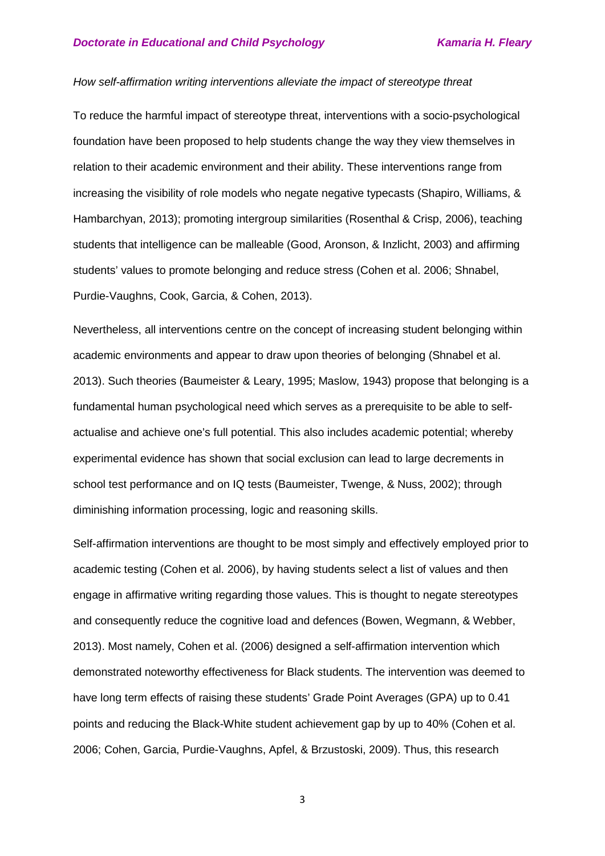#### *How self-affirmation writing interventions alleviate the impact of stereotype threat*

To reduce the harmful impact of stereotype threat, interventions with a socio-psychological foundation have been proposed to help students change the way they view themselves in relation to their academic environment and their ability. These interventions range from increasing the visibility of role models who negate negative typecasts (Shapiro, Williams, & Hambarchyan, 2013); promoting intergroup similarities (Rosenthal & Crisp, 2006), teaching students that intelligence can be malleable (Good, Aronson, & Inzlicht, 2003) and affirming students' values to promote belonging and reduce stress (Cohen et al. 2006; Shnabel, Purdie-Vaughns, Cook, Garcia, & Cohen, 2013).

Nevertheless, all interventions centre on the concept of increasing student belonging within academic environments and appear to draw upon theories of belonging (Shnabel et al. 2013). Such theories (Baumeister & Leary, 1995; Maslow, 1943) propose that belonging is a fundamental human psychological need which serves as a prerequisite to be able to selfactualise and achieve one's full potential. This also includes academic potential; whereby experimental evidence has shown that social exclusion can lead to large decrements in school test performance and on IQ tests (Baumeister, Twenge, & Nuss, 2002); through diminishing information processing, logic and reasoning skills.

Self-affirmation interventions are thought to be most simply and effectively employed prior to academic testing (Cohen et al. 2006), by having students select a list of values and then engage in affirmative writing regarding those values. This is thought to negate stereotypes and consequently reduce the cognitive load and defences (Bowen, Wegmann, & Webber, 2013). Most namely, Cohen et al. (2006) designed a self-affirmation intervention which demonstrated noteworthy effectiveness for Black students. The intervention was deemed to have long term effects of raising these students' Grade Point Averages (GPA) up to 0.41 points and reducing the Black-White student achievement gap by up to 40% (Cohen et al. 2006; Cohen, Garcia, Purdie-Vaughns, Apfel, & Brzustoski, 2009). Thus, this research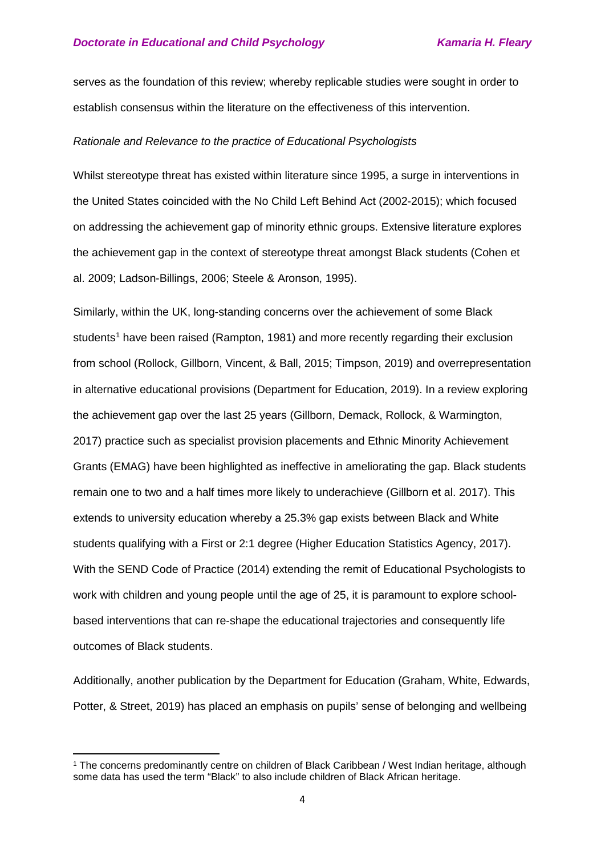serves as the foundation of this review; whereby replicable studies were sought in order to establish consensus within the literature on the effectiveness of this intervention.

#### *Rationale and Relevance to the practice of Educational Psychologists*

Whilst stereotype threat has existed within literature since 1995, a surge in interventions in the United States coincided with the No Child Left Behind Act (2002-2015); which focused on addressing the achievement gap of minority ethnic groups. Extensive literature explores the achievement gap in the context of stereotype threat amongst Black students (Cohen et al. 2009; Ladson-Billings, 2006; Steele & Aronson, 1995).

Similarly, within the UK, long-standing concerns over the achievement of some Black students<sup>[1](#page-3-0)</sup> have been raised (Rampton, 1981) and more recently regarding their exclusion from school (Rollock, Gillborn, Vincent, & Ball, 2015; Timpson, 2019) and overrepresentation in alternative educational provisions (Department for Education, 2019). In a review exploring the achievement gap over the last 25 years (Gillborn, Demack, Rollock, & Warmington, 2017) practice such as specialist provision placements and Ethnic Minority Achievement Grants (EMAG) have been highlighted as ineffective in ameliorating the gap. Black students remain one to two and a half times more likely to underachieve (Gillborn et al. 2017). This extends to university education whereby a 25.3% gap exists between Black and White students qualifying with a First or 2:1 degree (Higher Education Statistics Agency, 2017). With the SEND Code of Practice (2014) extending the remit of Educational Psychologists to work with children and young people until the age of 25, it is paramount to explore schoolbased interventions that can re-shape the educational trajectories and consequently life outcomes of Black students.

Additionally, another publication by the Department for Education (Graham, White, Edwards, Potter, & Street, 2019) has placed an emphasis on pupils' sense of belonging and wellbeing

 $\overline{\phantom{a}}$ 

<span id="page-3-0"></span><sup>1</sup> The concerns predominantly centre on children of Black Caribbean / West Indian heritage, although some data has used the term "Black" to also include children of Black African heritage.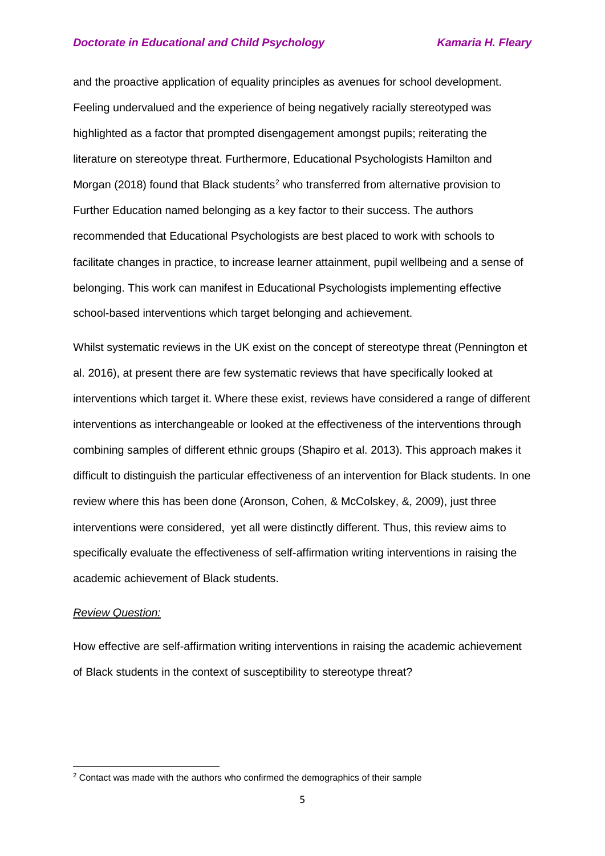and the proactive application of equality principles as avenues for school development. Feeling undervalued and the experience of being negatively racially stereotyped was highlighted as a factor that prompted disengagement amongst pupils; reiterating the literature on stereotype threat. Furthermore, Educational Psychologists Hamilton and Morgan ([2](#page-4-0)018) found that Black students<sup>2</sup> who transferred from alternative provision to Further Education named belonging as a key factor to their success. The authors recommended that Educational Psychologists are best placed to work with schools to facilitate changes in practice, to increase learner attainment, pupil wellbeing and a sense of belonging. This work can manifest in Educational Psychologists implementing effective school-based interventions which target belonging and achievement.

Whilst systematic reviews in the UK exist on the concept of stereotype threat (Pennington et al. 2016), at present there are few systematic reviews that have specifically looked at interventions which target it. Where these exist, reviews have considered a range of different interventions as interchangeable or looked at the effectiveness of the interventions through combining samples of different ethnic groups (Shapiro et al. 2013). This approach makes it difficult to distinguish the particular effectiveness of an intervention for Black students. In one review where this has been done (Aronson, Cohen, & McColskey, &, 2009), just three interventions were considered, yet all were distinctly different. Thus, this review aims to specifically evaluate the effectiveness of self-affirmation writing interventions in raising the academic achievement of Black students.

#### *Review Question:*

 $\overline{\phantom{a}}$ 

How effective are self-affirmation writing interventions in raising the academic achievement of Black students in the context of susceptibility to stereotype threat?

<span id="page-4-0"></span><sup>&</sup>lt;sup>2</sup> Contact was made with the authors who confirmed the demographics of their sample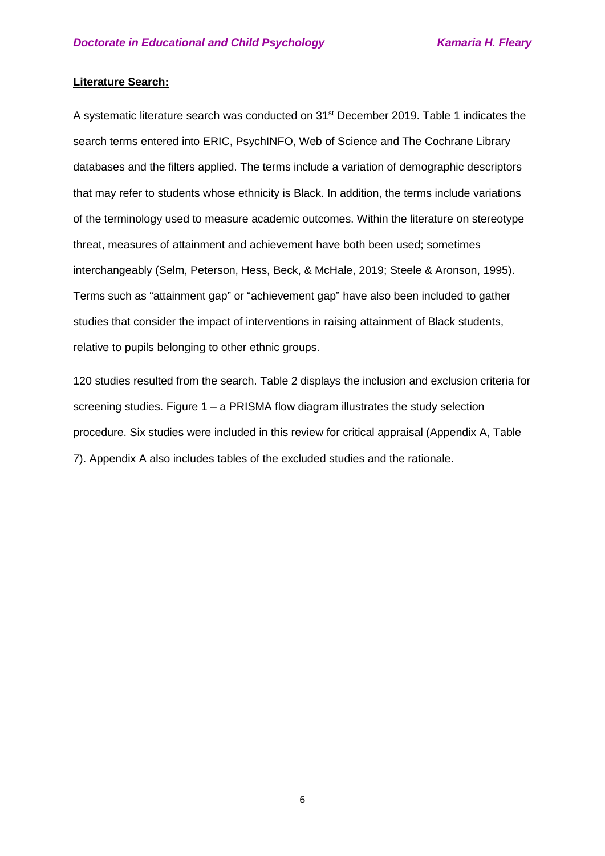#### **Literature Search:**

A systematic literature search was conducted on 31<sup>st</sup> December 2019. Table 1 indicates the search terms entered into ERIC, PsychINFO, Web of Science and The Cochrane Library databases and the filters applied. The terms include a variation of demographic descriptors that may refer to students whose ethnicity is Black. In addition, the terms include variations of the terminology used to measure academic outcomes. Within the literature on stereotype threat, measures of attainment and achievement have both been used; sometimes interchangeably (Selm, Peterson, Hess, Beck, & McHale, 2019; Steele & Aronson, 1995). Terms such as "attainment gap" or "achievement gap" have also been included to gather studies that consider the impact of interventions in raising attainment of Black students, relative to pupils belonging to other ethnic groups.

120 studies resulted from the search. Table 2 displays the inclusion and exclusion criteria for screening studies. Figure  $1 - a$  PRISMA flow diagram illustrates the study selection procedure. Six studies were included in this review for critical appraisal (Appendix A, Table 7). Appendix A also includes tables of the excluded studies and the rationale.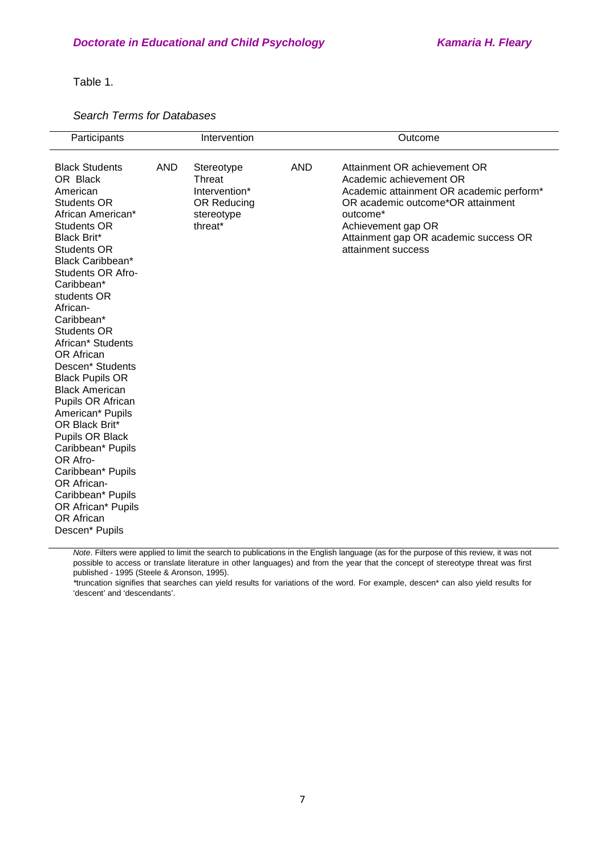Table 1.

#### *Search Terms for Databases*

| Participants                                                                                                                                                                                                                                                                                                                                                                                                                                                                                                                                                                                                             |            | Intervention                                                                  |            | Outcome                                                                                                                                                                                                                                   |
|--------------------------------------------------------------------------------------------------------------------------------------------------------------------------------------------------------------------------------------------------------------------------------------------------------------------------------------------------------------------------------------------------------------------------------------------------------------------------------------------------------------------------------------------------------------------------------------------------------------------------|------------|-------------------------------------------------------------------------------|------------|-------------------------------------------------------------------------------------------------------------------------------------------------------------------------------------------------------------------------------------------|
| <b>Black Students</b><br>OR Black<br>American<br><b>Students OR</b><br>African American*<br><b>Students OR</b><br><b>Black Brit*</b><br><b>Students OR</b><br>Black Caribbean*<br><b>Students OR Afro-</b><br>Caribbean*<br>students OR<br>African-<br>Caribbean*<br>Students OR<br>African* Students<br>OR African<br>Descen* Students<br><b>Black Pupils OR</b><br><b>Black American</b><br>Pupils OR African<br>American* Pupils<br>OR Black Brit*<br>Pupils OR Black<br>Caribbean* Pupils<br>OR Afro-<br>Caribbean* Pupils<br>OR African-<br>Caribbean* Pupils<br>OR African* Pupils<br>OR African<br>Descen* Pupils | <b>AND</b> | Stereotype<br>Threat<br>Intervention*<br>OR Reducing<br>stereotype<br>threat* | <b>AND</b> | Attainment OR achievement OR<br>Academic achievement OR<br>Academic attainment OR academic perform*<br>OR academic outcome*OR attainment<br>outcome*<br>Achievement gap OR<br>Attainment gap OR academic success OR<br>attainment success |

*Note*. Filters were applied to limit the search to publications in the English language (as for the purpose of this review, it was not possible to access or translate literature in other languages) and from the year that the concept of stereotype threat was first published - 1995 (Steele & Aronson, 1995).

*\**truncation signifies that searches can yield results for variations of the word. For example, descen\* can also yield results for 'descent' and 'descendants'.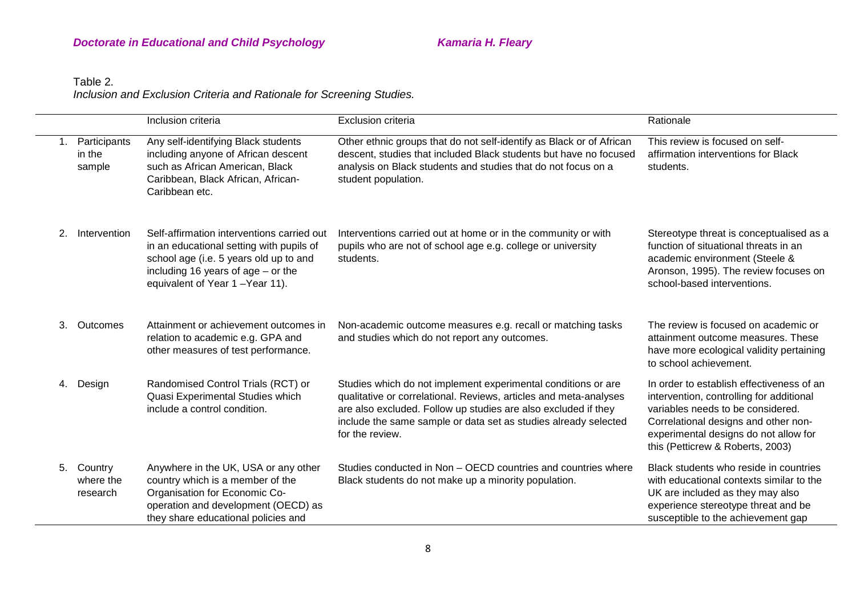## **Doctorate in Educational and Child Psychology Manual Act Admaria H. Fleary** *Doctorate in Educational and Child Psychology*

### Table 2. *Inclusion and Exclusion Criteria and Rationale for Screening Studies.*

|    |                                  | Inclusion criteria                                                                                                                                                                                         | <b>Exclusion criteria</b>                                                                                                                                                                                                                                                                  | Rationale                                                                                                                                                                                                                                       |
|----|----------------------------------|------------------------------------------------------------------------------------------------------------------------------------------------------------------------------------------------------------|--------------------------------------------------------------------------------------------------------------------------------------------------------------------------------------------------------------------------------------------------------------------------------------------|-------------------------------------------------------------------------------------------------------------------------------------------------------------------------------------------------------------------------------------------------|
|    | Participants<br>in the<br>sample | Any self-identifying Black students<br>including anyone of African descent<br>such as African American, Black<br>Caribbean, Black African, African-<br>Caribbean etc.                                      | Other ethnic groups that do not self-identify as Black or of African<br>descent, studies that included Black students but have no focused<br>analysis on Black students and studies that do not focus on a<br>student population.                                                          | This review is focused on self-<br>affirmation interventions for Black<br>students.                                                                                                                                                             |
| 2. | Intervention                     | Self-affirmation interventions carried out<br>in an educational setting with pupils of<br>school age (i.e. 5 years old up to and<br>including 16 years of $age - or the$<br>equivalent of Year 1-Year 11). | Interventions carried out at home or in the community or with<br>pupils who are not of school age e.g. college or university<br>students.                                                                                                                                                  | Stereotype threat is conceptualised as a<br>function of situational threats in an<br>academic environment (Steele &<br>Aronson, 1995). The review focuses on<br>school-based interventions.                                                     |
| 3. | Outcomes                         | Attainment or achievement outcomes in<br>relation to academic e.g. GPA and<br>other measures of test performance.                                                                                          | Non-academic outcome measures e.g. recall or matching tasks<br>and studies which do not report any outcomes.                                                                                                                                                                               | The review is focused on academic or<br>attainment outcome measures. These<br>have more ecological validity pertaining<br>to school achievement.                                                                                                |
|    | 4. Design                        | Randomised Control Trials (RCT) or<br>Quasi Experimental Studies which<br>include a control condition.                                                                                                     | Studies which do not implement experimental conditions or are<br>qualitative or correlational. Reviews, articles and meta-analyses<br>are also excluded. Follow up studies are also excluded if they<br>include the same sample or data set as studies already selected<br>for the review. | In order to establish effectiveness of an<br>intervention, controlling for additional<br>variables needs to be considered.<br>Correlational designs and other non-<br>experimental designs do not allow for<br>this (Petticrew & Roberts, 2003) |
| 5. | Country<br>where the<br>research | Anywhere in the UK, USA or any other<br>country which is a member of the<br>Organisation for Economic Co-<br>operation and development (OECD) as<br>they share educational policies and                    | Studies conducted in Non - OECD countries and countries where<br>Black students do not make up a minority population.                                                                                                                                                                      | Black students who reside in countries<br>with educational contexts similar to the<br>UK are included as they may also<br>experience stereotype threat and be<br>susceptible to the achievement gap                                             |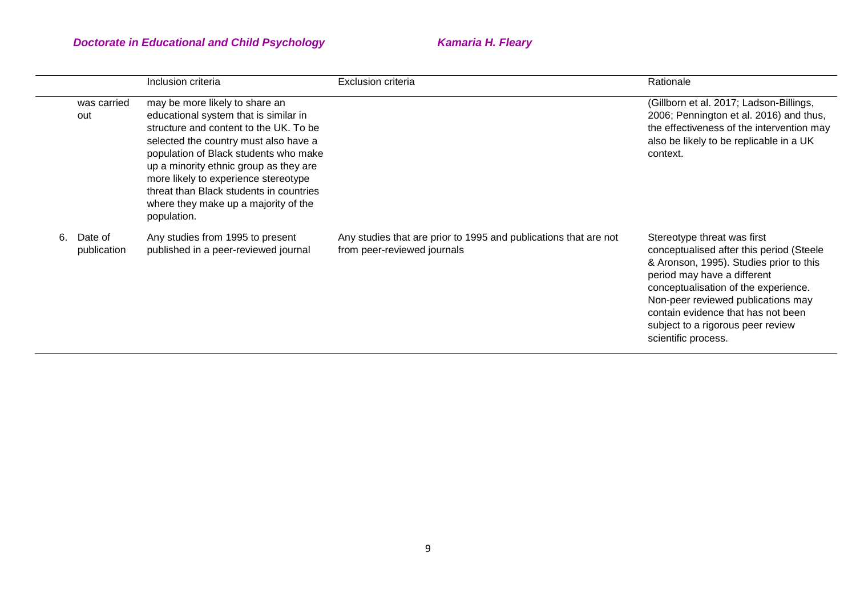|    |                        | Inclusion criteria                                                                                                                                                                                                                                                                                                                                                                      | <b>Exclusion criteria</b>                                                                       | Rationale                                                                                                                                                                                                                                                                                                                         |
|----|------------------------|-----------------------------------------------------------------------------------------------------------------------------------------------------------------------------------------------------------------------------------------------------------------------------------------------------------------------------------------------------------------------------------------|-------------------------------------------------------------------------------------------------|-----------------------------------------------------------------------------------------------------------------------------------------------------------------------------------------------------------------------------------------------------------------------------------------------------------------------------------|
|    | was carried<br>out     | may be more likely to share an<br>educational system that is similar in<br>structure and content to the UK. To be<br>selected the country must also have a<br>population of Black students who make<br>up a minority ethnic group as they are<br>more likely to experience stereotype<br>threat than Black students in countries<br>where they make up a majority of the<br>population. |                                                                                                 | (Gillborn et al. 2017; Ladson-Billings,<br>2006; Pennington et al. 2016) and thus,<br>the effectiveness of the intervention may<br>also be likely to be replicable in a UK<br>context.                                                                                                                                            |
| 6. | Date of<br>publication | Any studies from 1995 to present<br>published in a peer-reviewed journal                                                                                                                                                                                                                                                                                                                | Any studies that are prior to 1995 and publications that are not<br>from peer-reviewed journals | Stereotype threat was first<br>conceptualised after this period (Steele<br>& Aronson, 1995). Studies prior to this<br>period may have a different<br>conceptualisation of the experience.<br>Non-peer reviewed publications may<br>contain evidence that has not been<br>subject to a rigorous peer review<br>scientific process. |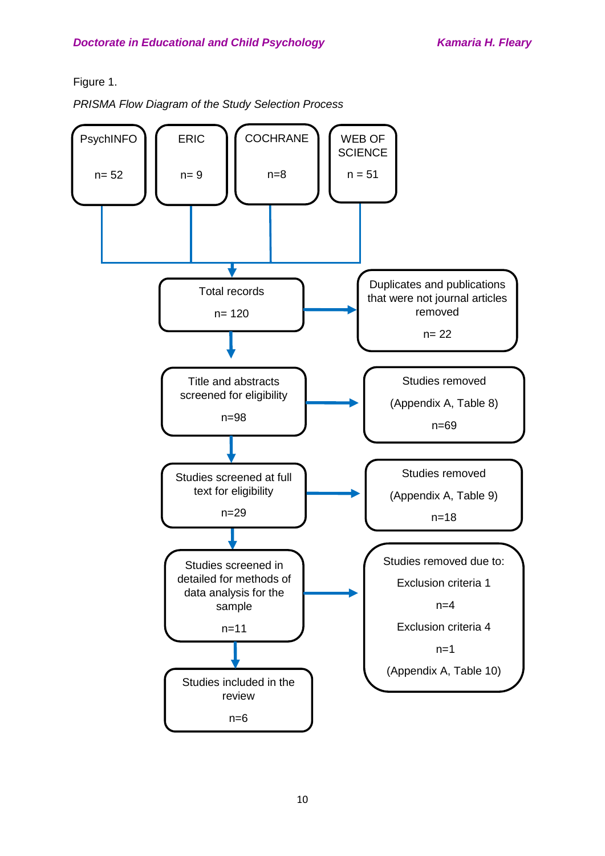Figure 1.

*PRISMA Flow Diagram of the Study Selection Process* 

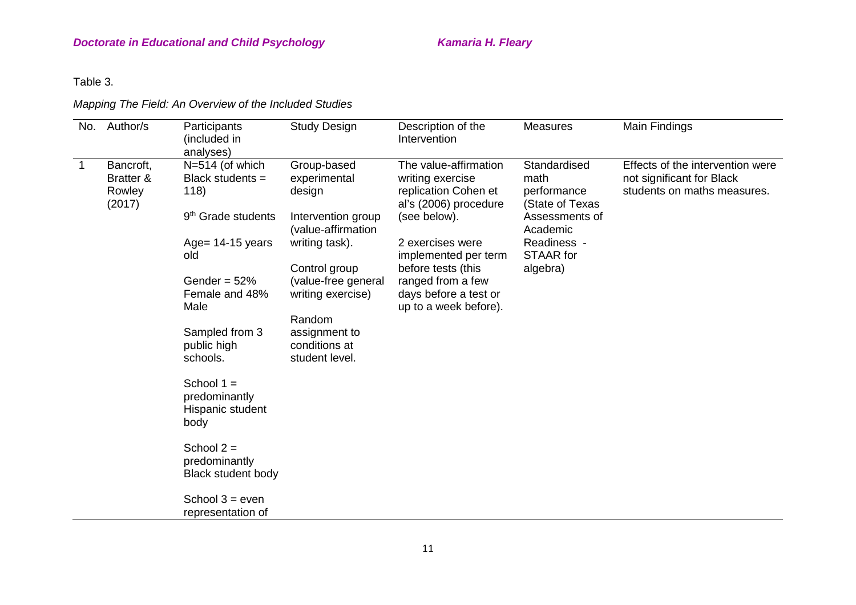Table 3.

## *Mapping The Field: An Overview of the Included Studies*

| No.         | Author/s                                   | Participants<br>(included in<br>analyses)                                     | <b>Study Design</b>                                                               | Description of the<br>Intervention                                                                         | <b>Measures</b>                                                                      | Main Findings                                                                                |
|-------------|--------------------------------------------|-------------------------------------------------------------------------------|-----------------------------------------------------------------------------------|------------------------------------------------------------------------------------------------------------|--------------------------------------------------------------------------------------|----------------------------------------------------------------------------------------------|
| $\mathbf 1$ | Bancroft,<br>Bratter &<br>Rowley<br>(2017) | N=514 (of which<br>Black students =<br>118)<br>9 <sup>th</sup> Grade students | Group-based<br>experimental<br>design<br>Intervention group<br>(value-affirmation | The value-affirmation<br>writing exercise<br>replication Cohen et<br>al's (2006) procedure<br>(see below). | Standardised<br>math<br>performance<br>(State of Texas<br>Assessments of<br>Academic | Effects of the intervention were<br>not significant for Black<br>students on maths measures. |
|             |                                            | Age= $14-15$ years<br>old                                                     | writing task).<br>Control group                                                   | 2 exercises were<br>implemented per term<br>before tests (this                                             | Readiness -<br><b>STAAR</b> for<br>algebra)                                          |                                                                                              |
|             |                                            | Gender = $52%$<br>Female and 48%<br>Male                                      | (value-free general<br>writing exercise)<br>Random                                | ranged from a few<br>days before a test or<br>up to a week before).                                        |                                                                                      |                                                                                              |
|             |                                            | Sampled from 3<br>public high<br>schools.                                     | assignment to<br>conditions at<br>student level.                                  |                                                                                                            |                                                                                      |                                                                                              |
|             |                                            | School $1 =$<br>predominantly<br>Hispanic student<br>body                     |                                                                                   |                                                                                                            |                                                                                      |                                                                                              |
|             |                                            | School $2 =$<br>predominantly<br><b>Black student body</b>                    |                                                                                   |                                                                                                            |                                                                                      |                                                                                              |
|             |                                            | School $3 = even$<br>representation of                                        |                                                                                   |                                                                                                            |                                                                                      |                                                                                              |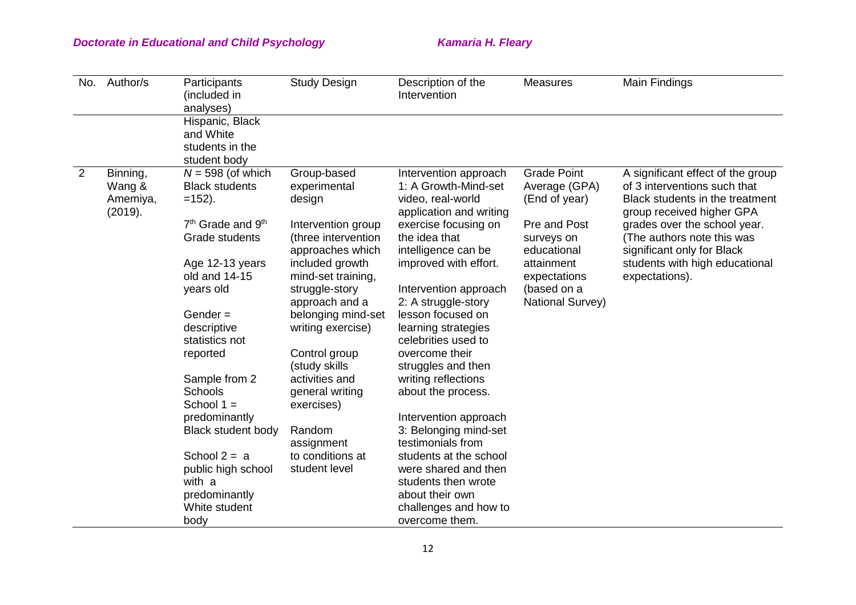| No. | Author/s                                  | Participants<br>(included in<br>analyses)                                                                                                             | <b>Study Design</b>                                                                                                                                               | Description of the<br>Intervention                                                                                                                                                                              | <b>Measures</b>                                                                                                                                | Main Findings                                                                                                                                                                                                                                                                     |
|-----|-------------------------------------------|-------------------------------------------------------------------------------------------------------------------------------------------------------|-------------------------------------------------------------------------------------------------------------------------------------------------------------------|-----------------------------------------------------------------------------------------------------------------------------------------------------------------------------------------------------------------|------------------------------------------------------------------------------------------------------------------------------------------------|-----------------------------------------------------------------------------------------------------------------------------------------------------------------------------------------------------------------------------------------------------------------------------------|
|     |                                           | Hispanic, Black<br>and White<br>students in the<br>student body                                                                                       |                                                                                                                                                                   |                                                                                                                                                                                                                 |                                                                                                                                                |                                                                                                                                                                                                                                                                                   |
| 2   | Binning,<br>Wang &<br>Amemiya,<br>(2019). | $N = 598$ (of which<br><b>Black students</b><br>$=152$ ).<br>$7th$ Grade and $9th$<br>Grade students<br>Age 12-13 years<br>old and 14-15<br>years old | Group-based<br>experimental<br>design<br>Intervention group<br>(three intervention<br>approaches which<br>included growth<br>mind-set training,<br>struggle-story | Intervention approach<br>1: A Growth-Mind-set<br>video, real-world<br>application and writing<br>exercise focusing on<br>the idea that<br>intelligence can be<br>improved with effort.<br>Intervention approach | <b>Grade Point</b><br>Average (GPA)<br>(End of year)<br>Pre and Post<br>surveys on<br>educational<br>attainment<br>expectations<br>(based on a | A significant effect of the group<br>of 3 interventions such that<br>Black students in the treatment<br>group received higher GPA<br>grades over the school year.<br>(The authors note this was<br>significant only for Black<br>students with high educational<br>expectations). |
|     |                                           | Gender $=$<br>descriptive<br>statistics not<br>reported<br>Sample from 2<br><b>Schools</b><br>School $1 =$<br>predominantly                           | approach and a<br>belonging mind-set<br>writing exercise)<br>Control group<br>(study skills<br>activities and<br>general writing<br>exercises)                    | 2: A struggle-story<br>lesson focused on<br>learning strategies<br>celebrities used to<br>overcome their<br>struggles and then<br>writing reflections<br>about the process.<br>Intervention approach            | National Survey)                                                                                                                               |                                                                                                                                                                                                                                                                                   |
|     |                                           | <b>Black student body</b><br>School $2 = a$<br>public high school<br>with a<br>predominantly<br>White student<br>body                                 | Random<br>assignment<br>to conditions at<br>student level                                                                                                         | 3: Belonging mind-set<br>testimonials from<br>students at the school<br>were shared and then<br>students then wrote<br>about their own<br>challenges and how to<br>overcome them.                               |                                                                                                                                                |                                                                                                                                                                                                                                                                                   |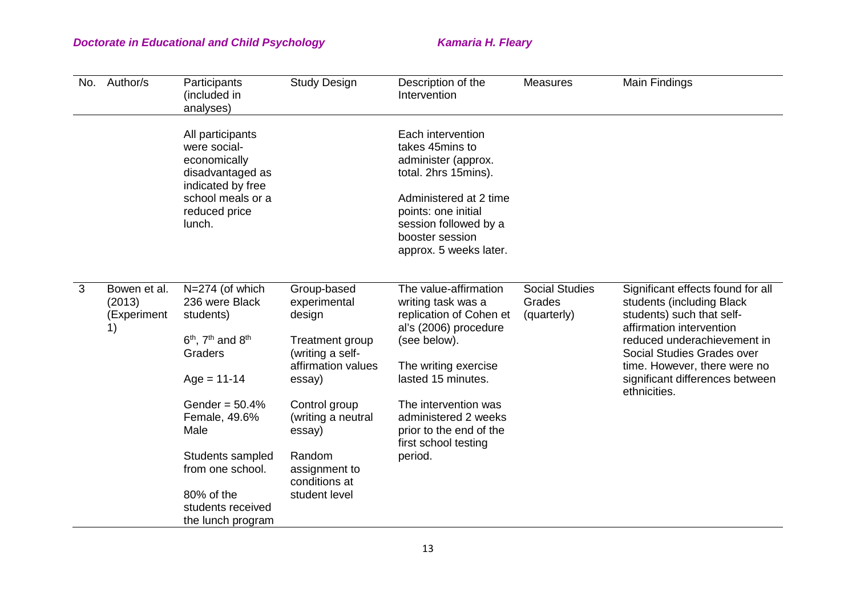| No. | Author/s                                    | Participants<br>(included in<br>analyses)                                                                                                 | <b>Study Design</b>                                                                                          | Description of the<br>Intervention                                                                                                                                                                         | <b>Measures</b>                                | Main Findings                                                                                                                                                                                                                                                           |
|-----|---------------------------------------------|-------------------------------------------------------------------------------------------------------------------------------------------|--------------------------------------------------------------------------------------------------------------|------------------------------------------------------------------------------------------------------------------------------------------------------------------------------------------------------------|------------------------------------------------|-------------------------------------------------------------------------------------------------------------------------------------------------------------------------------------------------------------------------------------------------------------------------|
|     |                                             | All participants<br>were social-<br>economically<br>disadvantaged as<br>indicated by free<br>school meals or a<br>reduced price<br>lunch. |                                                                                                              | Each intervention<br>takes 45mins to<br>administer (approx.<br>total. 2hrs 15mins).<br>Administered at 2 time<br>points: one initial<br>session followed by a<br>booster session<br>approx. 5 weeks later. |                                                |                                                                                                                                                                                                                                                                         |
| 3   | Bowen et al.<br>(2013)<br>(Experiment<br>1) | N=274 (of which<br>236 were Black<br>students)<br>$6th$ , $7th$ and $8th$<br>Graders<br>$Age = 11-14$                                     | Group-based<br>experimental<br>design<br>Treatment group<br>(writing a self-<br>affirmation values<br>essay) | The value-affirmation<br>writing task was a<br>replication of Cohen et<br>al's (2006) procedure<br>(see below).<br>The writing exercise<br>lasted 15 minutes.                                              | <b>Social Studies</b><br>Grades<br>(quarterly) | Significant effects found for all<br>students (including Black<br>students) such that self-<br>affirmation intervention<br>reduced underachievement in<br>Social Studies Grades over<br>time. However, there were no<br>significant differences between<br>ethnicities. |
|     |                                             | Gender = $50.4%$<br>Female, 49.6%<br>Male                                                                                                 | Control group<br>(writing a neutral<br>essay)                                                                | The intervention was<br>administered 2 weeks<br>prior to the end of the<br>first school testing                                                                                                            |                                                |                                                                                                                                                                                                                                                                         |
|     |                                             | Students sampled<br>from one school.                                                                                                      | Random<br>assignment to<br>conditions at                                                                     | period.                                                                                                                                                                                                    |                                                |                                                                                                                                                                                                                                                                         |
|     |                                             | 80% of the<br>students received<br>the lunch program                                                                                      | student level                                                                                                |                                                                                                                                                                                                            |                                                |                                                                                                                                                                                                                                                                         |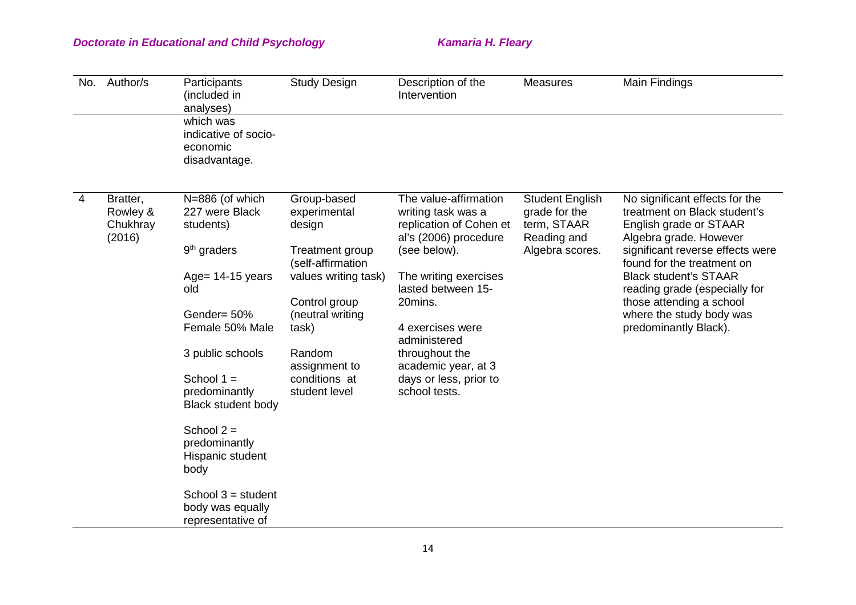| No.            | Author/s                                   | Participants<br>(included in<br>analyses)<br>which was<br>indicative of socio-<br>economic<br>disadvantage.                                                                                                                                                                                                                                  | <b>Study Design</b>                                                                                                                                                                                              | Description of the<br>Intervention                                                                                                                                                                                                                                                                | <b>Measures</b>                                                                          | Main Findings                                                                                                                                                                                                                                                                                                                          |
|----------------|--------------------------------------------|----------------------------------------------------------------------------------------------------------------------------------------------------------------------------------------------------------------------------------------------------------------------------------------------------------------------------------------------|------------------------------------------------------------------------------------------------------------------------------------------------------------------------------------------------------------------|---------------------------------------------------------------------------------------------------------------------------------------------------------------------------------------------------------------------------------------------------------------------------------------------------|------------------------------------------------------------------------------------------|----------------------------------------------------------------------------------------------------------------------------------------------------------------------------------------------------------------------------------------------------------------------------------------------------------------------------------------|
| $\overline{4}$ | Bratter,<br>Rowley &<br>Chukhray<br>(2016) | N=886 (of which<br>227 were Black<br>students)<br>$9th$ graders<br>Age= 14-15 years<br>old<br>Gender= 50%<br>Female 50% Male<br>3 public schools<br>School $1 =$<br>predominantly<br><b>Black student body</b><br>School $2 =$<br>predominantly<br>Hispanic student<br>body<br>School $3 =$ student<br>body was equally<br>representative of | Group-based<br>experimental<br>design<br>Treatment group<br>(self-affirmation<br>values writing task)<br>Control group<br>(neutral writing<br>task)<br>Random<br>assignment to<br>conditions at<br>student level | The value-affirmation<br>writing task was a<br>replication of Cohen et<br>al's (2006) procedure<br>(see below).<br>The writing exercises<br>lasted between 15-<br>20mins.<br>4 exercises were<br>administered<br>throughout the<br>academic year, at 3<br>days or less, prior to<br>school tests. | <b>Student English</b><br>grade for the<br>term, STAAR<br>Reading and<br>Algebra scores. | No significant effects for the<br>treatment on Black student's<br>English grade or STAAR<br>Algebra grade. However<br>significant reverse effects were<br>found for the treatment on<br><b>Black student's STAAR</b><br>reading grade (especially for<br>those attending a school<br>where the study body was<br>predominantly Black). |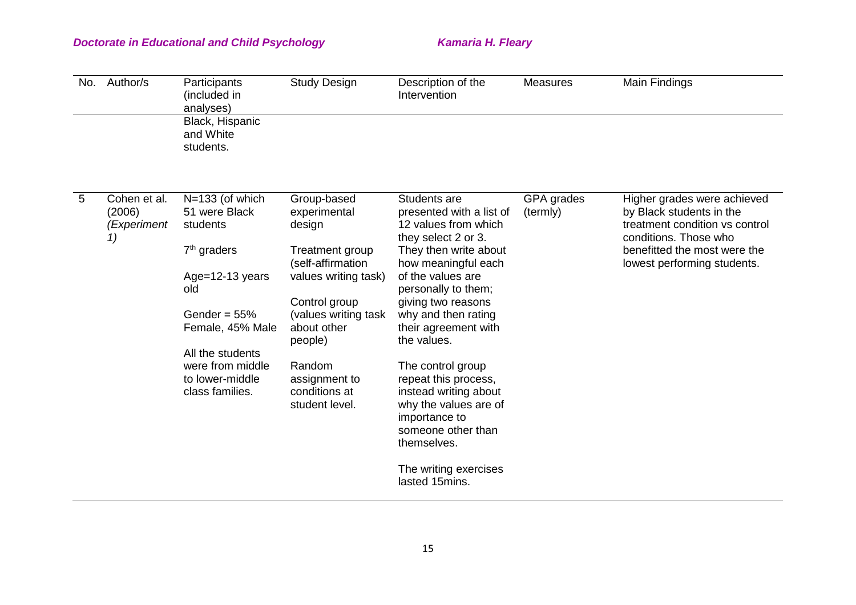| No.            | Author/s                                    | Participants<br>(included in<br>analyses)                                                                                                                                                                        | <b>Study Design</b>                                                                                                                                                                                                                    | Description of the<br>Intervention                                                                                                                                                                                                                                                                                                                                                                                                                    | <b>Measures</b>        | Main Findings                                                                                                                                                                     |
|----------------|---------------------------------------------|------------------------------------------------------------------------------------------------------------------------------------------------------------------------------------------------------------------|----------------------------------------------------------------------------------------------------------------------------------------------------------------------------------------------------------------------------------------|-------------------------------------------------------------------------------------------------------------------------------------------------------------------------------------------------------------------------------------------------------------------------------------------------------------------------------------------------------------------------------------------------------------------------------------------------------|------------------------|-----------------------------------------------------------------------------------------------------------------------------------------------------------------------------------|
|                |                                             | Black, Hispanic<br>and White<br>students.                                                                                                                                                                        |                                                                                                                                                                                                                                        |                                                                                                                                                                                                                                                                                                                                                                                                                                                       |                        |                                                                                                                                                                                   |
| $5\phantom{1}$ | Cohen et al.<br>(2006)<br>(Experiment<br>1) | $N=133$ (of which<br>51 were Black<br>students<br>$7th$ graders<br>Age= $12-13$ years<br>old<br>Gender = $55%$<br>Female, 45% Male<br>All the students<br>were from middle<br>to lower-middle<br>class families. | Group-based<br>experimental<br>design<br>Treatment group<br>(self-affirmation<br>values writing task)<br>Control group<br>(values writing task<br>about other<br>people)<br>Random<br>assignment to<br>conditions at<br>student level. | Students are<br>presented with a list of<br>12 values from which<br>they select 2 or 3.<br>They then write about<br>how meaningful each<br>of the values are<br>personally to them;<br>giving two reasons<br>why and then rating<br>their agreement with<br>the values.<br>The control group<br>repeat this process,<br>instead writing about<br>why the values are of<br>importance to<br>someone other than<br>themselves.<br>The writing exercises | GPA grades<br>(termly) | Higher grades were achieved<br>by Black students in the<br>treatment condition vs control<br>conditions. Those who<br>benefitted the most were the<br>lowest performing students. |
|                |                                             |                                                                                                                                                                                                                  |                                                                                                                                                                                                                                        | lasted 15mins.                                                                                                                                                                                                                                                                                                                                                                                                                                        |                        |                                                                                                                                                                                   |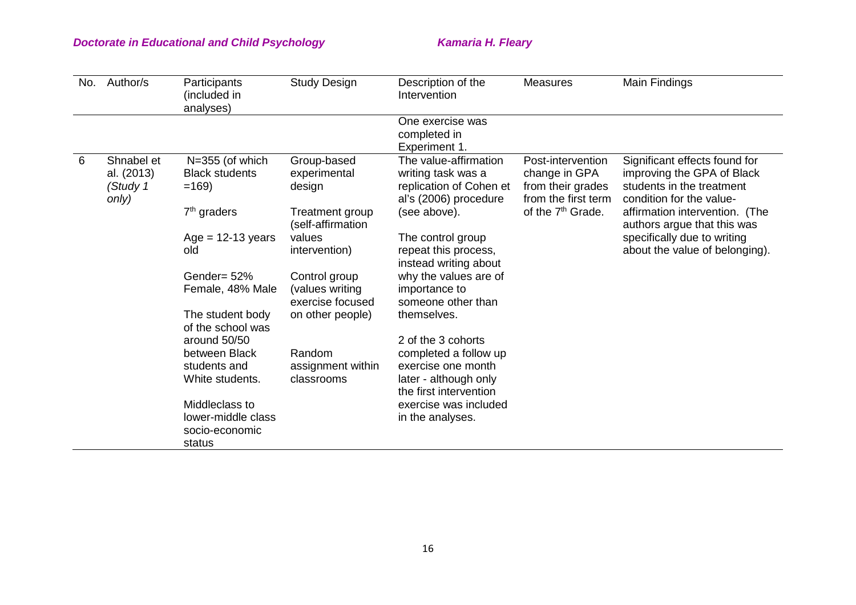| No. | Author/s                                      | Participants<br>(included in<br>analyses)              | <b>Study Design</b>                                  | Description of the<br>Intervention                                                              | <b>Measures</b>                                                                | Main Findings                                                                                                        |
|-----|-----------------------------------------------|--------------------------------------------------------|------------------------------------------------------|-------------------------------------------------------------------------------------------------|--------------------------------------------------------------------------------|----------------------------------------------------------------------------------------------------------------------|
|     |                                               |                                                        |                                                      | One exercise was<br>completed in<br>Experiment 1.                                               |                                                                                |                                                                                                                      |
| 6   | Shnabel et<br>al. (2013)<br>(Study 1<br>only) | $N=355$ (of which<br><b>Black students</b><br>$=169$   | Group-based<br>experimental<br>design                | The value-affirmation<br>writing task was a<br>replication of Cohen et<br>al's (2006) procedure | Post-intervention<br>change in GPA<br>from their grades<br>from the first term | Significant effects found for<br>improving the GPA of Black<br>students in the treatment<br>condition for the value- |
|     |                                               | $7th$ graders                                          | Treatment group<br>(self-affirmation                 | (see above).                                                                                    | of the 7 <sup>th</sup> Grade.                                                  | affirmation intervention. (The<br>authors argue that this was                                                        |
|     |                                               | $Age = 12-13$ years<br>old                             | values<br>intervention)                              | The control group<br>repeat this process,<br>instead writing about                              |                                                                                | specifically due to writing<br>about the value of belonging).                                                        |
|     |                                               | Gender= 52%<br>Female, 48% Male                        | Control group<br>(values writing<br>exercise focused | why the values are of<br>importance to<br>someone other than                                    |                                                                                |                                                                                                                      |
|     |                                               | The student body<br>of the school was                  | on other people)                                     | themselves.                                                                                     |                                                                                |                                                                                                                      |
|     |                                               | around 50/50<br>between Black                          | Random                                               | 2 of the 3 cohorts<br>completed a follow up                                                     |                                                                                |                                                                                                                      |
|     |                                               | students and<br>White students.                        | assignment within<br>classrooms                      | exercise one month<br>later - although only<br>the first intervention                           |                                                                                |                                                                                                                      |
|     |                                               | Middleclass to<br>lower-middle class<br>socio-economic |                                                      | exercise was included<br>in the analyses.                                                       |                                                                                |                                                                                                                      |
|     |                                               | status                                                 |                                                      |                                                                                                 |                                                                                |                                                                                                                      |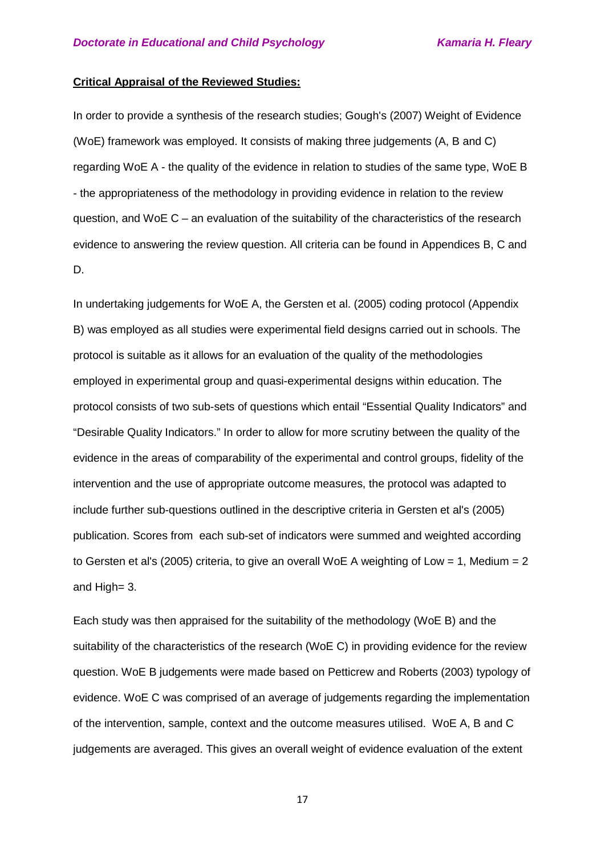#### **Critical Appraisal of the Reviewed Studies:**

In order to provide a synthesis of the research studies; Gough's (2007) Weight of Evidence (WoE) framework was employed. It consists of making three judgements (A, B and C) regarding WoE A - the quality of the evidence in relation to studies of the same type, WoE B - the appropriateness of the methodology in providing evidence in relation to the review question, and WoE C – an evaluation of the suitability of the characteristics of the research evidence to answering the review question. All criteria can be found in Appendices B, C and D.

In undertaking judgements for WoE A, the Gersten et al. (2005) coding protocol (Appendix B) was employed as all studies were experimental field designs carried out in schools. The protocol is suitable as it allows for an evaluation of the quality of the methodologies employed in experimental group and quasi-experimental designs within education. The protocol consists of two sub-sets of questions which entail "Essential Quality Indicators" and "Desirable Quality Indicators." In order to allow for more scrutiny between the quality of the evidence in the areas of comparability of the experimental and control groups, fidelity of the intervention and the use of appropriate outcome measures, the protocol was adapted to include further sub-questions outlined in the descriptive criteria in Gersten et al's (2005) publication. Scores from each sub-set of indicators were summed and weighted according to Gersten et al's (2005) criteria, to give an overall WoE A weighting of Low = 1, Medium = 2 and High= 3.

Each study was then appraised for the suitability of the methodology (WoE B) and the suitability of the characteristics of the research (WoE C) in providing evidence for the review question. WoE B judgements were made based on Petticrew and Roberts (2003) typology of evidence. WoE C was comprised of an average of judgements regarding the implementation of the intervention, sample, context and the outcome measures utilised. WoE A, B and C judgements are averaged. This gives an overall weight of evidence evaluation of the extent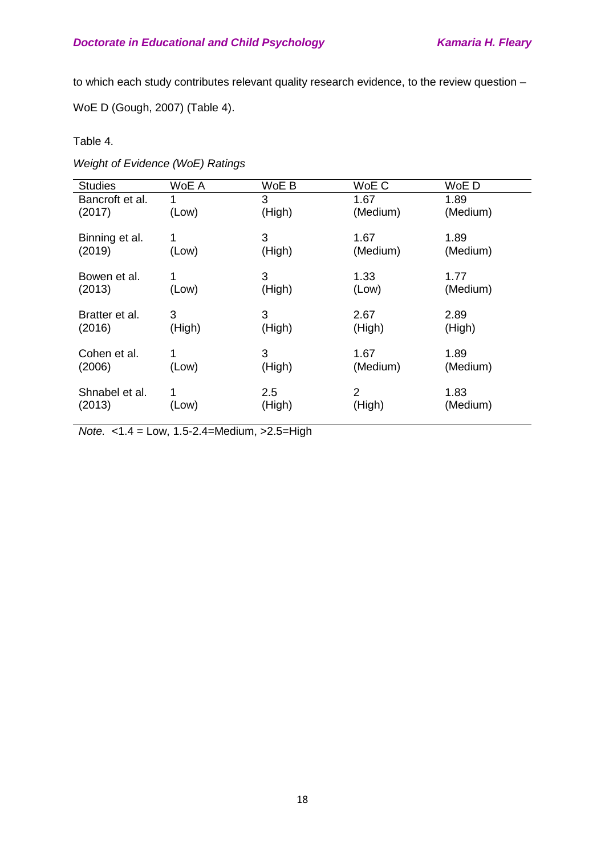to which each study contributes relevant quality research evidence, to the review question –

WoE D (Gough, 2007) (Table 4).

### Table 4.

*Weight of Evidence (WoE) Ratings* 

| <b>Studies</b>  | WoE A  | WoE B  | WoE C          | WoE D    |
|-----------------|--------|--------|----------------|----------|
| Bancroft et al. | 1      | 3      | 1.67           | 1.89     |
| (2017)          | (Low)  | (High) | (Medium)       | (Medium) |
| Binning et al.  | 1      | 3      | 1.67           | 1.89     |
| (2019)          | (Low)  | (High) | (Medium)       | (Medium) |
|                 |        |        |                |          |
| Bowen et al.    | 1      | 3      | 1.33           | 1.77     |
| (2013)          | (Low)  | (High) | (Low)          | (Medium) |
|                 |        |        |                |          |
| Bratter et al.  | 3      | 3      | 2.67           | 2.89     |
| (2016)          | (High) | (High) | (High)         | (High)   |
| Cohen et al.    | 1      | 3      | 1.67           | 1.89     |
| (2006)          | (Low)  | (High) | (Medium)       | (Medium) |
|                 |        |        |                |          |
| Shnabel et al.  | 1      | 2.5    | $\overline{2}$ | 1.83     |
| (2013)          | (Low)  | (High) | (High)         | (Medium) |
|                 |        |        |                |          |

*Note.* <1.4 = Low, 1.5-2.4=Medium, >2.5=High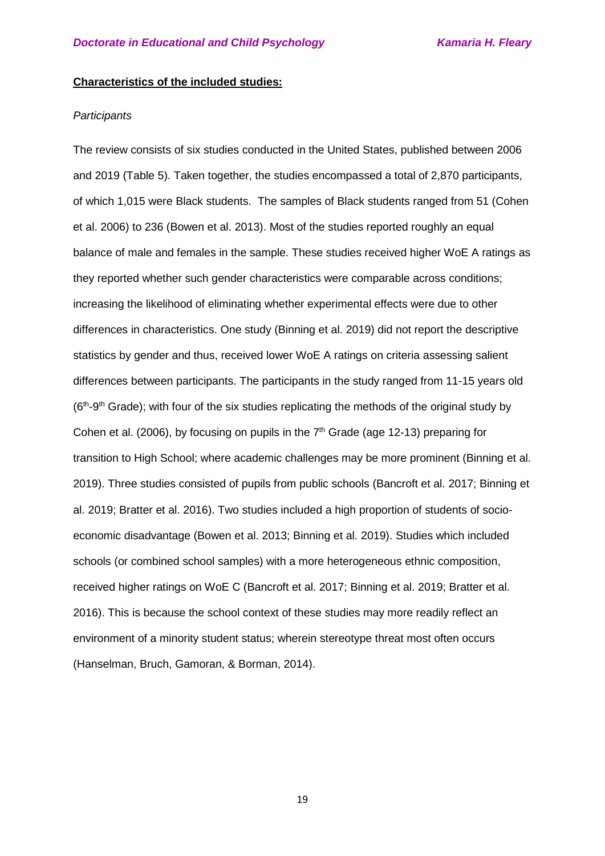#### **Characteristics of the included studies:**

#### *Participants*

The review consists of six studies conducted in the United States, published between 2006 and 2019 (Table 5). Taken together, the studies encompassed a total of 2,870 participants, of which 1,015 were Black students. The samples of Black students ranged from 51 (Cohen et al. 2006) to 236 (Bowen et al. 2013). Most of the studies reported roughly an equal balance of male and females in the sample. These studies received higher WoE A ratings as they reported whether such gender characteristics were comparable across conditions; increasing the likelihood of eliminating whether experimental effects were due to other differences in characteristics. One study (Binning et al. 2019) did not report the descriptive statistics by gender and thus, received lower WoE A ratings on criteria assessing salient differences between participants. The participants in the study ranged from 11-15 years old  $(6<sup>th</sup>-9<sup>th</sup>$  Grade); with four of the six studies replicating the methods of the original study by Cohen et al. (2006), by focusing on pupils in the  $7<sup>th</sup>$  Grade (age 12-13) preparing for transition to High School; where academic challenges may be more prominent (Binning et al. 2019). Three studies consisted of pupils from public schools (Bancroft et al. 2017; Binning et al. 2019; Bratter et al. 2016). Two studies included a high proportion of students of socioeconomic disadvantage (Bowen et al. 2013; Binning et al. 2019). Studies which included schools (or combined school samples) with a more heterogeneous ethnic composition, received higher ratings on WoE C (Bancroft et al. 2017; Binning et al. 2019; Bratter et al. 2016). This is because the school context of these studies may more readily reflect an environment of a minority student status; wherein stereotype threat most often occurs (Hanselman, Bruch, Gamoran, & Borman, 2014).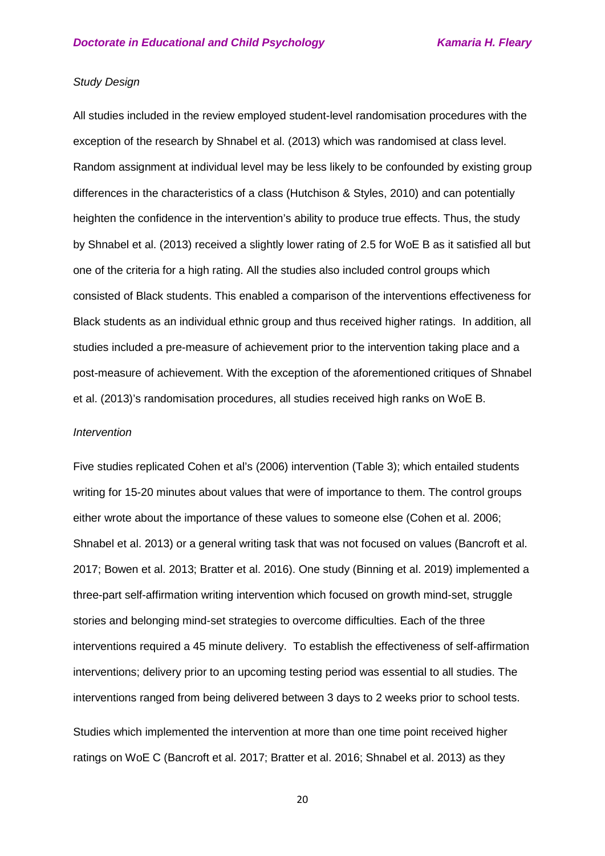#### *Study Design*

All studies included in the review employed student-level randomisation procedures with the exception of the research by Shnabel et al. (2013) which was randomised at class level. Random assignment at individual level may be less likely to be confounded by existing group differences in the characteristics of a class (Hutchison & Styles, 2010) and can potentially heighten the confidence in the intervention's ability to produce true effects. Thus, the study by Shnabel et al. (2013) received a slightly lower rating of 2.5 for WoE B as it satisfied all but one of the criteria for a high rating. All the studies also included control groups which consisted of Black students. This enabled a comparison of the interventions effectiveness for Black students as an individual ethnic group and thus received higher ratings. In addition, all studies included a pre-measure of achievement prior to the intervention taking place and a post-measure of achievement. With the exception of the aforementioned critiques of Shnabel et al. (2013)'s randomisation procedures, all studies received high ranks on WoE B.

#### *Intervention*

Five studies replicated Cohen et al's (2006) intervention (Table 3); which entailed students writing for 15-20 minutes about values that were of importance to them. The control groups either wrote about the importance of these values to someone else (Cohen et al. 2006; Shnabel et al. 2013) or a general writing task that was not focused on values (Bancroft et al. 2017; Bowen et al. 2013; Bratter et al. 2016). One study (Binning et al. 2019) implemented a three-part self-affirmation writing intervention which focused on growth mind-set, struggle stories and belonging mind-set strategies to overcome difficulties. Each of the three interventions required a 45 minute delivery. To establish the effectiveness of self-affirmation interventions; delivery prior to an upcoming testing period was essential to all studies. The interventions ranged from being delivered between 3 days to 2 weeks prior to school tests.

Studies which implemented the intervention at more than one time point received higher ratings on WoE C (Bancroft et al. 2017; Bratter et al. 2016; Shnabel et al. 2013) as they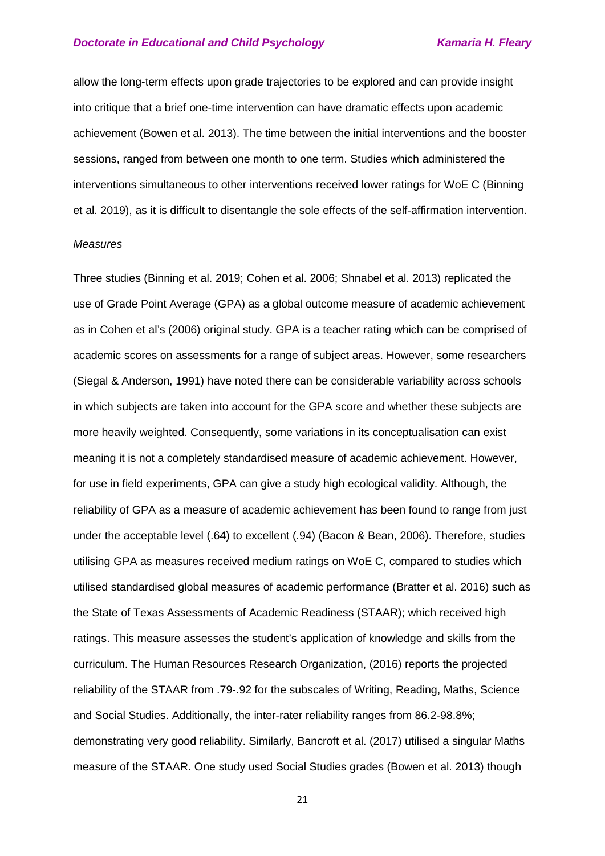allow the long-term effects upon grade trajectories to be explored and can provide insight into critique that a brief one-time intervention can have dramatic effects upon academic achievement (Bowen et al. 2013). The time between the initial interventions and the booster sessions, ranged from between one month to one term. Studies which administered the interventions simultaneous to other interventions received lower ratings for WoE C (Binning et al. 2019), as it is difficult to disentangle the sole effects of the self-affirmation intervention.

#### *Measures*

Three studies (Binning et al. 2019; Cohen et al. 2006; Shnabel et al. 2013) replicated the use of Grade Point Average (GPA) as a global outcome measure of academic achievement as in Cohen et al's (2006) original study. GPA is a teacher rating which can be comprised of academic scores on assessments for a range of subject areas. However, some researchers (Siegal & Anderson, 1991) have noted there can be considerable variability across schools in which subjects are taken into account for the GPA score and whether these subjects are more heavily weighted. Consequently, some variations in its conceptualisation can exist meaning it is not a completely standardised measure of academic achievement. However, for use in field experiments, GPA can give a study high ecological validity. Although, the reliability of GPA as a measure of academic achievement has been found to range from just under the acceptable level (.64) to excellent (.94) (Bacon & Bean, 2006). Therefore, studies utilising GPA as measures received medium ratings on WoE C, compared to studies which utilised standardised global measures of academic performance (Bratter et al. 2016) such as the State of Texas Assessments of Academic Readiness (STAAR); which received high ratings. This measure assesses the student's application of knowledge and skills from the curriculum. The Human Resources Research Organization, (2016) reports the projected reliability of the STAAR from .79-.92 for the subscales of Writing, Reading, Maths, Science and Social Studies. Additionally, the inter-rater reliability ranges from 86.2-98.8%; demonstrating very good reliability. Similarly, Bancroft et al. (2017) utilised a singular Maths measure of the STAAR. One study used Social Studies grades (Bowen et al. 2013) though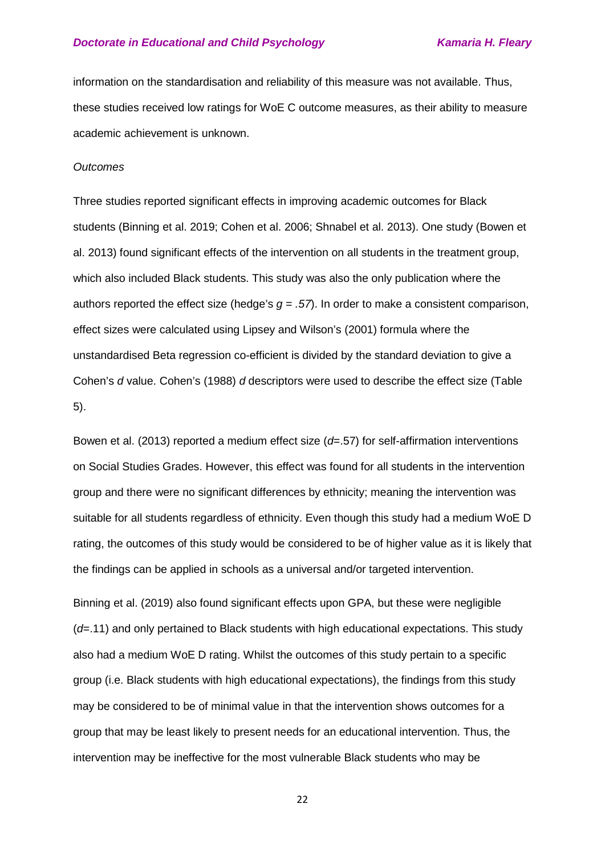information on the standardisation and reliability of this measure was not available. Thus, these studies received low ratings for WoE C outcome measures, as their ability to measure academic achievement is unknown.

#### *Outcomes*

Three studies reported significant effects in improving academic outcomes for Black students (Binning et al. 2019; Cohen et al. 2006; Shnabel et al. 2013). One study (Bowen et al. 2013) found significant effects of the intervention on all students in the treatment group, which also included Black students. This study was also the only publication where the authors reported the effect size (hedge's  $g = .57$ ). In order to make a consistent comparison, effect sizes were calculated using Lipsey and Wilson's (2001) formula where the unstandardised Beta regression co-efficient is divided by the standard deviation to give a Cohen's *d* value. Cohen's (1988) *d* descriptors were used to describe the effect size (Table 5).

Bowen et al. (2013) reported a medium effect size (*d*=.57) for self-affirmation interventions on Social Studies Grades. However, this effect was found for all students in the intervention group and there were no significant differences by ethnicity; meaning the intervention was suitable for all students regardless of ethnicity. Even though this study had a medium WoE D rating, the outcomes of this study would be considered to be of higher value as it is likely that the findings can be applied in schools as a universal and/or targeted intervention.

Binning et al. (2019) also found significant effects upon GPA, but these were negligible (*d*=.11) and only pertained to Black students with high educational expectations. This study also had a medium WoE D rating. Whilst the outcomes of this study pertain to a specific group (i.e. Black students with high educational expectations), the findings from this study may be considered to be of minimal value in that the intervention shows outcomes for a group that may be least likely to present needs for an educational intervention. Thus, the intervention may be ineffective for the most vulnerable Black students who may be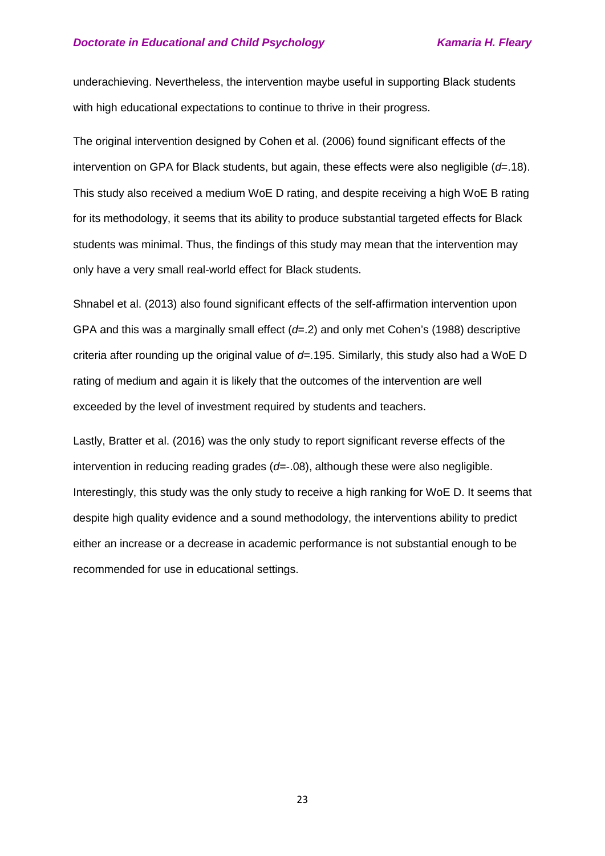underachieving. Nevertheless, the intervention maybe useful in supporting Black students with high educational expectations to continue to thrive in their progress.

The original intervention designed by Cohen et al. (2006) found significant effects of the intervention on GPA for Black students, but again, these effects were also negligible ( $d=18$ ). This study also received a medium WoE D rating, and despite receiving a high WoE B rating for its methodology, it seems that its ability to produce substantial targeted effects for Black students was minimal. Thus, the findings of this study may mean that the intervention may only have a very small real-world effect for Black students.

Shnabel et al. (2013) also found significant effects of the self-affirmation intervention upon GPA and this was a marginally small effect (*d*=.2) and only met Cohen's (1988) descriptive criteria after rounding up the original value of *d*=.195. Similarly, this study also had a WoE D rating of medium and again it is likely that the outcomes of the intervention are well exceeded by the level of investment required by students and teachers.

Lastly, Bratter et al. (2016) was the only study to report significant reverse effects of the intervention in reducing reading grades (*d*=-.08), although these were also negligible. Interestingly, this study was the only study to receive a high ranking for WoE D. It seems that despite high quality evidence and a sound methodology, the interventions ability to predict either an increase or a decrease in academic performance is not substantial enough to be recommended for use in educational settings.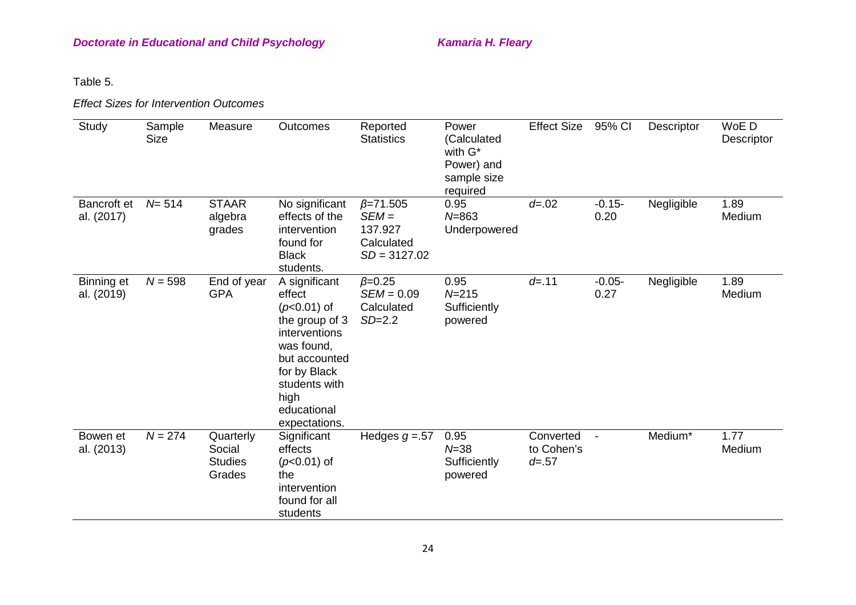Table 5.

*Effect Sizes for Intervention Outcomes* 

| Study                     | Sample<br><b>Size</b> | Measure                                         | Outcomes                                                                                                                                                                            | Reported<br><b>Statistics</b>                                          | Power<br>(Calculated<br>with G*<br>Power) and<br>sample size<br>required | <b>Effect Size</b>                   | 95% CI           | Descriptor | WoE D<br>Descriptor |
|---------------------------|-----------------------|-------------------------------------------------|-------------------------------------------------------------------------------------------------------------------------------------------------------------------------------------|------------------------------------------------------------------------|--------------------------------------------------------------------------|--------------------------------------|------------------|------------|---------------------|
| Bancroft et<br>al. (2017) | $N = 514$             | <b>STAAR</b><br>algebra<br>grades               | No significant<br>effects of the<br>intervention<br>found for<br><b>Black</b><br>students.                                                                                          | $\beta = 71.505$<br>$SEM =$<br>137.927<br>Calculated<br>$SD = 3127.02$ | 0.95<br>$N = 863$<br>Underpowered                                        | $d = .02$                            | $-0.15-$<br>0.20 | Negligible | 1.89<br>Medium      |
| Binning et<br>al. (2019)  | $N = 598$             | End of year<br><b>GPA</b>                       | A significant<br>effect<br>$(p<0.01)$ of<br>the group of 3<br>interventions<br>was found,<br>but accounted<br>for by Black<br>students with<br>high<br>educational<br>expectations. | $\beta = 0.25$<br>$SEM = 0.09$<br>Calculated<br>$SD=2.2$               | 0.95<br>$N = 215$<br>Sufficiently<br>powered                             | $d = .11$                            | $-0.05-$<br>0.27 | Negligible | 1.89<br>Medium      |
| Bowen et<br>al. (2013)    | $N = 274$             | Quarterly<br>Social<br><b>Studies</b><br>Grades | Significant<br>effects<br>$(p<0.01)$ of<br>the<br>intervention<br>found for all<br>students                                                                                         | Hedges $g = 57$                                                        | 0.95<br>$N = 38$<br>Sufficiently<br>powered                              | Converted<br>to Cohen's<br>$d = .57$ | $\blacksquare$   | Medium*    | 1.77<br>Medium      |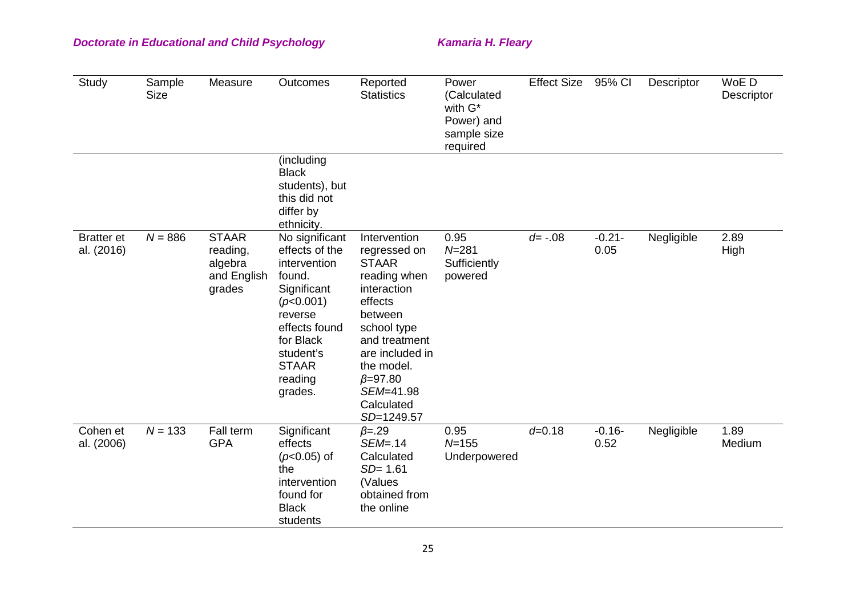| <b>Study</b>                    | Sample<br><b>Size</b> | Measure                                                      | Outcomes                                                                                                                                                                           | Reported<br><b>Statistics</b>                                                                                                                                                                                                  | Power<br>(Calculated<br>with G*<br>Power) and<br>sample size<br>required | <b>Effect Size</b> | 95% CI           | Descriptor | WoE D<br>Descriptor |
|---------------------------------|-----------------------|--------------------------------------------------------------|------------------------------------------------------------------------------------------------------------------------------------------------------------------------------------|--------------------------------------------------------------------------------------------------------------------------------------------------------------------------------------------------------------------------------|--------------------------------------------------------------------------|--------------------|------------------|------------|---------------------|
|                                 |                       |                                                              | (including<br><b>Black</b><br>students), but<br>this did not<br>differ by<br>ethnicity.                                                                                            |                                                                                                                                                                                                                                |                                                                          |                    |                  |            |                     |
| <b>Bratter</b> et<br>al. (2016) | $N = 886$             | <b>STAAR</b><br>reading,<br>algebra<br>and English<br>grades | No significant<br>effects of the<br>intervention<br>found.<br>Significant<br>(p<0.001)<br>reverse<br>effects found<br>for Black<br>student's<br><b>STAAR</b><br>reading<br>grades. | Intervention<br>regressed on<br><b>STAAR</b><br>reading when<br>interaction<br>effects<br>between<br>school type<br>and treatment<br>are included in<br>the model.<br>$\beta = 97.80$<br>SEM=41.98<br>Calculated<br>SD=1249.57 | 0.95<br>$N = 281$<br>Sufficiently<br>powered                             | $d = -0.08$        | $-0.21-$<br>0.05 | Negligible | 2.89<br>High        |
| Cohen et<br>al. (2006)          | $N = 133$             | Fall term<br><b>GPA</b>                                      | Significant<br>effects<br>$(p<0.05)$ of<br>the<br>intervention<br>found for<br><b>Black</b><br>students                                                                            | $\beta = .29$<br>$SEM = .14$<br>Calculated<br>$SD = 1.61$<br>(Values<br>obtained from<br>the online                                                                                                                            | 0.95<br>$N = 155$<br>Underpowered                                        | $d = 0.18$         | $-0.16-$<br>0.52 | Negligible | 1.89<br>Medium      |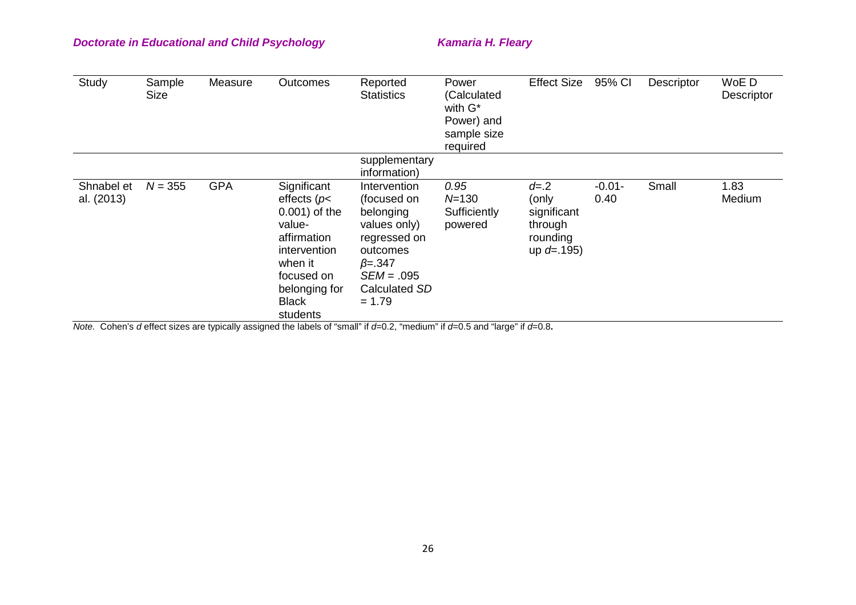| Study                    | Sample<br><b>Size</b> | Measure    | <b>Outcomes</b>                                                                                                                                              | Reported<br><b>Statistics</b>                                                                                                                      | Power<br>(Calculated<br>with $G^*$<br>Power) and<br>sample size<br>required | <b>Effect Size</b>                                                        | 95% CI            | Descriptor | WoE D<br>Descriptor |
|--------------------------|-----------------------|------------|--------------------------------------------------------------------------------------------------------------------------------------------------------------|----------------------------------------------------------------------------------------------------------------------------------------------------|-----------------------------------------------------------------------------|---------------------------------------------------------------------------|-------------------|------------|---------------------|
|                          |                       |            |                                                                                                                                                              | supplementary<br>information)                                                                                                                      |                                                                             |                                                                           |                   |            |                     |
| Shnabel et<br>al. (2013) | $N = 355$             | <b>GPA</b> | Significant<br>effects ( $p$<br>0.001) of the<br>value-<br>affirmation<br>intervention<br>when it<br>focused on<br>belonging for<br><b>Black</b><br>students | Intervention<br>(focused on<br>belonging<br>values only)<br>regressed on<br>outcomes<br>$\beta = 347$<br>$SEM = .095$<br>Calculated SD<br>$= 1.79$ | 0.95<br>$N = 130$<br>Sufficiently<br>powered                                | $d = 0.2$<br>(only<br>significant<br>through<br>rounding<br>up $d = .195$ | $-0.01 -$<br>0.40 | Small      | 1.83<br>Medium      |

*Note.*Cohen's *d* effect sizes are typically assigned the labels of "small" if *d*=0.2, "medium" if *d*=0.5 and "large" if *d*=0.8**.**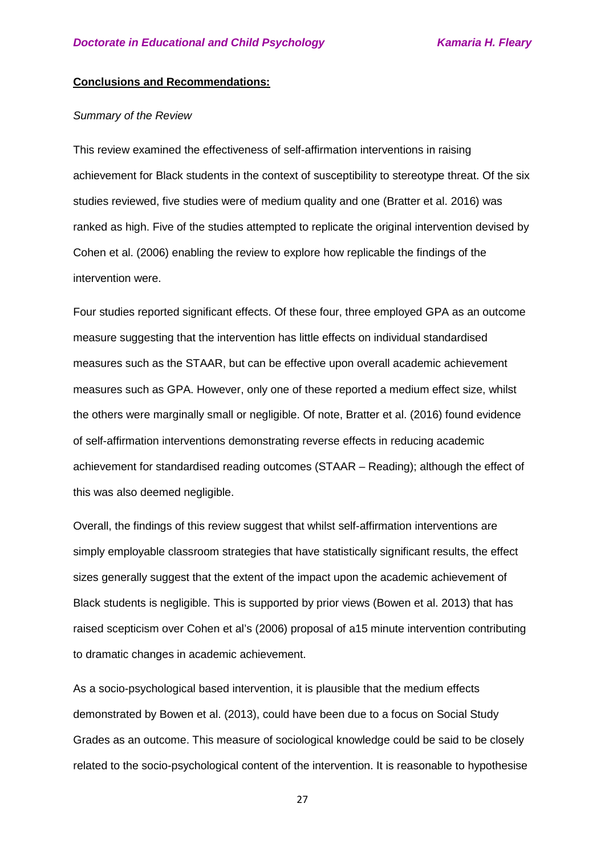#### **Conclusions and Recommendations:**

#### *Summary of the Review*

This review examined the effectiveness of self-affirmation interventions in raising achievement for Black students in the context of susceptibility to stereotype threat. Of the six studies reviewed, five studies were of medium quality and one (Bratter et al. 2016) was ranked as high. Five of the studies attempted to replicate the original intervention devised by Cohen et al. (2006) enabling the review to explore how replicable the findings of the intervention were.

Four studies reported significant effects. Of these four, three employed GPA as an outcome measure suggesting that the intervention has little effects on individual standardised measures such as the STAAR, but can be effective upon overall academic achievement measures such as GPA. However, only one of these reported a medium effect size, whilst the others were marginally small or negligible. Of note, Bratter et al. (2016) found evidence of self-affirmation interventions demonstrating reverse effects in reducing academic achievement for standardised reading outcomes (STAAR – Reading); although the effect of this was also deemed negligible.

Overall, the findings of this review suggest that whilst self-affirmation interventions are simply employable classroom strategies that have statistically significant results, the effect sizes generally suggest that the extent of the impact upon the academic achievement of Black students is negligible. This is supported by prior views (Bowen et al. 2013) that has raised scepticism over Cohen et al's (2006) proposal of a15 minute intervention contributing to dramatic changes in academic achievement.

As a socio-psychological based intervention, it is plausible that the medium effects demonstrated by Bowen et al. (2013), could have been due to a focus on Social Study Grades as an outcome. This measure of sociological knowledge could be said to be closely related to the socio-psychological content of the intervention. It is reasonable to hypothesise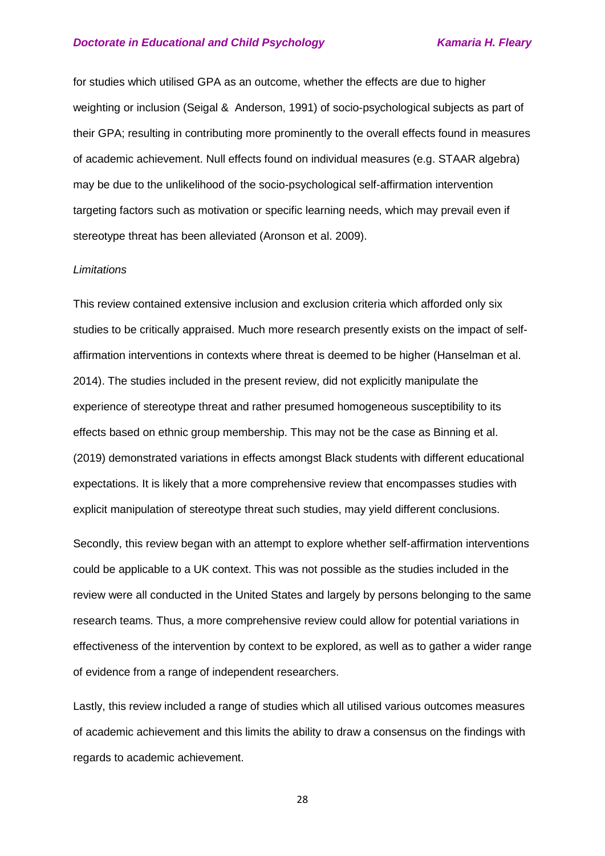for studies which utilised GPA as an outcome, whether the effects are due to higher weighting or inclusion (Seigal & Anderson, 1991) of socio-psychological subjects as part of their GPA; resulting in contributing more prominently to the overall effects found in measures of academic achievement. Null effects found on individual measures (e.g. STAAR algebra) may be due to the unlikelihood of the socio-psychological self-affirmation intervention targeting factors such as motivation or specific learning needs, which may prevail even if stereotype threat has been alleviated (Aronson et al. 2009).

#### *Limitations*

This review contained extensive inclusion and exclusion criteria which afforded only six studies to be critically appraised. Much more research presently exists on the impact of selfaffirmation interventions in contexts where threat is deemed to be higher (Hanselman et al. 2014). The studies included in the present review, did not explicitly manipulate the experience of stereotype threat and rather presumed homogeneous susceptibility to its effects based on ethnic group membership. This may not be the case as Binning et al. (2019) demonstrated variations in effects amongst Black students with different educational expectations. It is likely that a more comprehensive review that encompasses studies with explicit manipulation of stereotype threat such studies, may yield different conclusions.

Secondly, this review began with an attempt to explore whether self-affirmation interventions could be applicable to a UK context. This was not possible as the studies included in the review were all conducted in the United States and largely by persons belonging to the same research teams. Thus, a more comprehensive review could allow for potential variations in effectiveness of the intervention by context to be explored, as well as to gather a wider range of evidence from a range of independent researchers.

Lastly, this review included a range of studies which all utilised various outcomes measures of academic achievement and this limits the ability to draw a consensus on the findings with regards to academic achievement.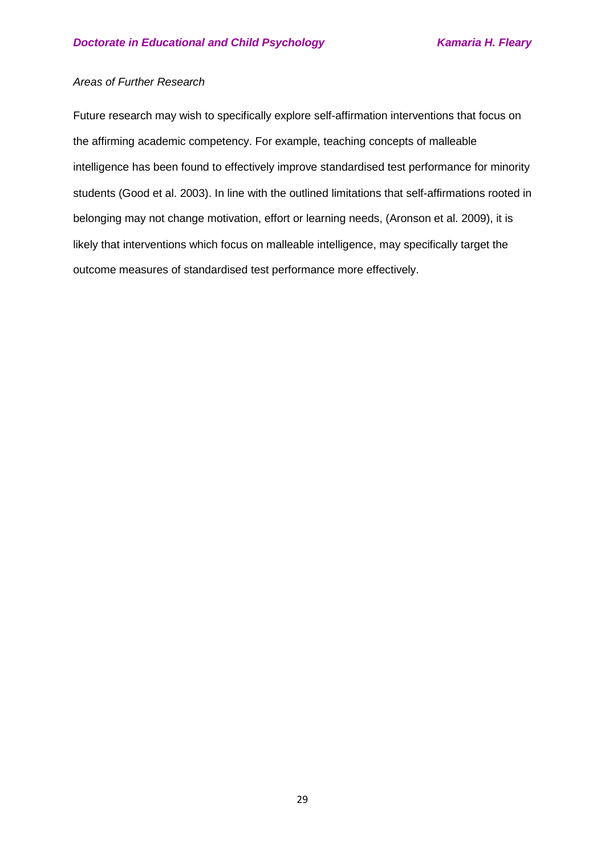### *Areas of Further Research*

Future research may wish to specifically explore self-affirmation interventions that focus on the affirming academic competency. For example, teaching concepts of malleable intelligence has been found to effectively improve standardised test performance for minority students (Good et al. 2003). In line with the outlined limitations that self-affirmations rooted in belonging may not change motivation, effort or learning needs, (Aronson et al. 2009), it is likely that interventions which focus on malleable intelligence, may specifically target the outcome measures of standardised test performance more effectively.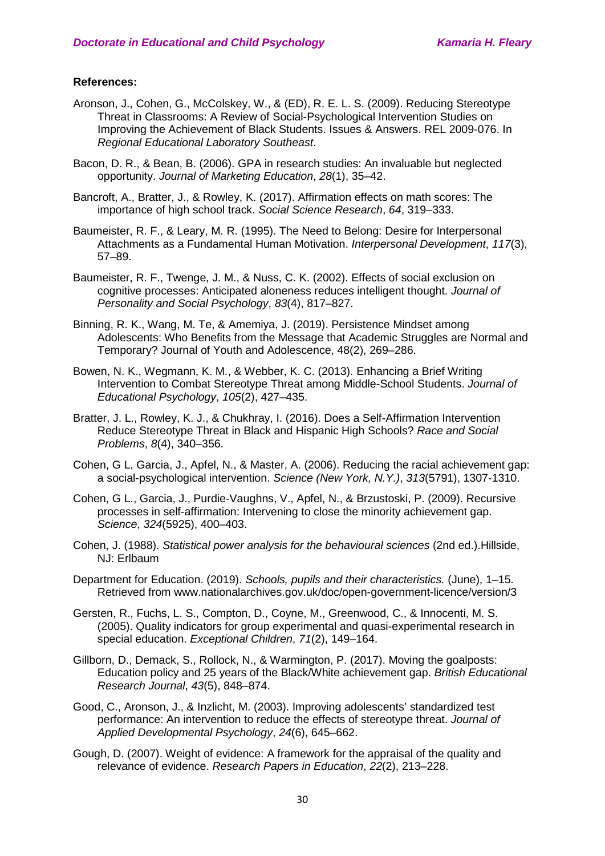#### **References:**

- Aronson, J., Cohen, G., McColskey, W., & (ED), R. E. L. S. (2009). Reducing Stereotype Threat in Classrooms: A Review of Social-Psychological Intervention Studies on Improving the Achievement of Black Students. Issues & Answers. REL 2009-076. In *Regional Educational Laboratory Southeast*.
- Bacon, D. R., & Bean, B. (2006). GPA in research studies: An invaluable but neglected opportunity. *Journal of Marketing Education*, *28*(1), 35–42.
- Bancroft, A., Bratter, J., & Rowley, K. (2017). Affirmation effects on math scores: The importance of high school track. *Social Science Research*, *64*, 319–333.
- Baumeister, R. F., & Leary, M. R. (1995). The Need to Belong: Desire for Interpersonal Attachments as a Fundamental Human Motivation. *Interpersonal Development*, *117*(3), 57–89.
- Baumeister, R. F., Twenge, J. M., & Nuss, C. K. (2002). Effects of social exclusion on cognitive processes: Anticipated aloneness reduces intelligent thought. *Journal of Personality and Social Psychology*, *83*(4), 817–827.
- Binning, R. K., Wang, M. Te, & Amemiya, J. (2019). Persistence Mindset among Adolescents: Who Benefits from the Message that Academic Struggles are Normal and Temporary? Journal of Youth and Adolescence, 48(2), 269–286.
- Bowen, N. K., Wegmann, K. M., & Webber, K. C. (2013). Enhancing a Brief Writing Intervention to Combat Stereotype Threat among Middle-School Students. *Journal of Educational Psychology*, *105*(2), 427–435.
- Bratter, J. L., Rowley, K. J., & Chukhray, I. (2016). Does a Self-Affirmation Intervention Reduce Stereotype Threat in Black and Hispanic High Schools? *Race and Social Problems*, *8*(4), 340–356.
- Cohen, G L, Garcia, J., Apfel, N., & Master, A. (2006). Reducing the racial achievement gap: a social-psychological intervention. *Science (New York, N.Y.)*, *313*(5791), 1307‐1310.
- Cohen, G L., Garcia, J., Purdie-Vaughns, V., Apfel, N., & Brzustoski, P. (2009). Recursive processes in self-affirmation: Intervening to close the minority achievement gap. *Science*, *324*(5925), 400–403.
- Cohen, J. (1988). *Statistical power analysis for the behavioural sciences* (2nd ed.).Hillside, NJ: Erlbaum
- Department for Education. (2019). *Schools, pupils and their characteristics.* (June), 1–15. Retrieved from www.nationalarchives.gov.uk/doc/open-government-licence/version/3
- Gersten, R., Fuchs, L. S., Compton, D., Coyne, M., Greenwood, C., & Innocenti, M. S. (2005). Quality indicators for group experimental and quasi-experimental research in special education. *Exceptional Children*, *71*(2), 149–164.
- Gillborn, D., Demack, S., Rollock, N., & Warmington, P. (2017). Moving the goalposts: Education policy and 25 years of the Black/White achievement gap. *British Educational Research Journal*, *43*(5), 848–874.
- Good, C., Aronson, J., & Inzlicht, M. (2003). Improving adolescents' standardized test performance: An intervention to reduce the effects of stereotype threat. *Journal of Applied Developmental Psychology*, *24*(6), 645–662.
- Gough, D. (2007). Weight of evidence: A framework for the appraisal of the quality and relevance of evidence. *Research Papers in Education*, *22*(2), 213–228.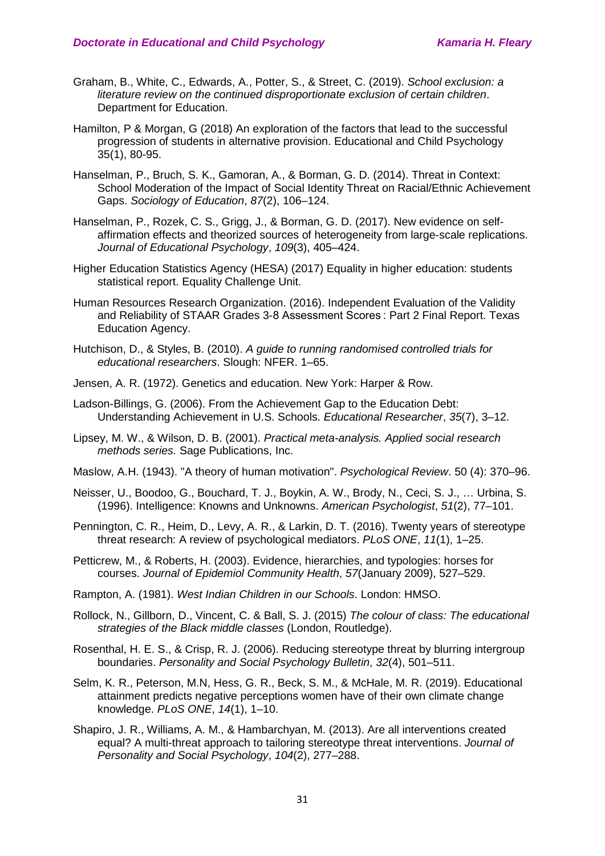- Graham, B., White, C., Edwards, A., Potter, S., & Street, C. (2019). *School exclusion: a literature review on the continued disproportionate exclusion of certain children*. Department for Education.
- Hamilton, P & Morgan, G (2018) An exploration of the factors that lead to the successful progression of students in alternative provision. Educational and Child Psychology 35(1), 80-95.
- Hanselman, P., Bruch, S. K., Gamoran, A., & Borman, G. D. (2014). Threat in Context: School Moderation of the Impact of Social Identity Threat on Racial/Ethnic Achievement Gaps. *Sociology of Education*, *87*(2), 106–124.
- Hanselman, P., Rozek, C. S., Grigg, J., & Borman, G. D. (2017). New evidence on selfaffirmation effects and theorized sources of heterogeneity from large-scale replications. *Journal of Educational Psychology*, *109*(3), 405–424.
- Higher Education Statistics Agency (HESA) (2017) Equality in higher education: students statistical report. Equality Challenge Unit.
- Human Resources Research Organization. (2016). Independent Evaluation of the Validity and Reliability of STAAR Grades 3-8 Assessment Scores : Part 2 Final Report. Texas Education Agency.
- Hutchison, D., & Styles, B. (2010). *A guide to running randomised controlled trials for educational researchers*. Slough: NFER. 1–65.
- Jensen, A. R. (1972). Genetics and education. New York: Harper & Row.
- Ladson-Billings, G. (2006). From the Achievement Gap to the Education Debt: Understanding Achievement in U.S. Schools. *Educational Researcher*, *35*(7), 3–12.
- Lipsey, M. W., & Wilson, D. B. (2001). *Practical meta-analysis. Applied social research methods series.* Sage Publications, Inc.
- Maslow, A.H. (1943). "A theory of human motivation". *Psychological Review*. 50 (4): 370–96.
- Neisser, U., Boodoo, G., Bouchard, T. J., Boykin, A. W., Brody, N., Ceci, S. J., … Urbina, S. (1996). Intelligence: Knowns and Unknowns. *American Psychologist*, *51*(2), 77–101.
- Pennington, C. R., Heim, D., Levy, A. R., & Larkin, D. T. (2016). Twenty years of stereotype threat research: A review of psychological mediators. *PLoS ONE*, *11*(1), 1–25.
- Petticrew, M., & Roberts, H. (2003). Evidence, hierarchies, and typologies: horses for courses. *Journal of Epidemiol Community Health*, *57*(January 2009), 527–529.
- Rampton, A. (1981). *West Indian Children in our Schools*. London: HMSO.
- Rollock, N., Gillborn, D., Vincent, C. & Ball, S. J. (2015) *The colour of class: The educational strategies of the Black middle classes* (London, Routledge).
- Rosenthal, H. E. S., & Crisp, R. J. (2006). Reducing stereotype threat by blurring intergroup boundaries. *Personality and Social Psychology Bulletin*, *32*(4), 501–511.
- Selm, K. R., Peterson, M.N, Hess, G. R., Beck, S. M., & McHale, M. R. (2019). Educational attainment predicts negative perceptions women have of their own climate change knowledge. *PLoS ONE*, *14*(1), 1–10.
- Shapiro, J. R., Williams, A. M., & Hambarchyan, M. (2013). Are all interventions created equal? A multi-threat approach to tailoring stereotype threat interventions. *Journal of Personality and Social Psychology*, *104*(2), 277–288.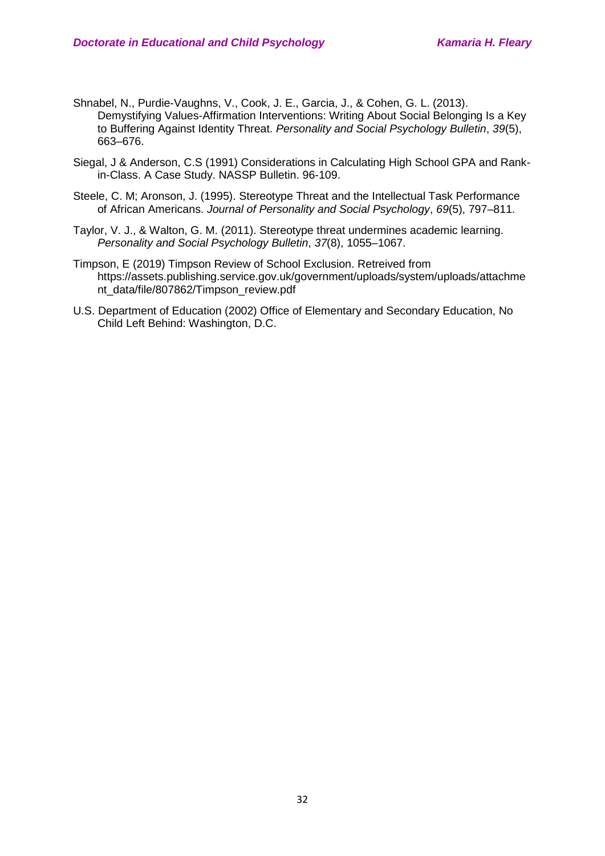- Shnabel, N., Purdie-Vaughns, V., Cook, J. E., Garcia, J., & Cohen, G. L. (2013). Demystifying Values-Affirmation Interventions: Writing About Social Belonging Is a Key to Buffering Against Identity Threat. *Personality and Social Psychology Bulletin*, *39*(5), 663–676.
- Siegal, J & Anderson, C.S (1991) Considerations in Calculating High School GPA and Rankin-Class. A Case Study. NASSP Bulletin. 96-109.
- Steele, C. M; Aronson, J. (1995). Stereotype Threat and the Intellectual Task Performance of African Americans. *Journal of Personality and Social Psychology*, *69*(5), 797–811.
- Taylor, V. J., & Walton, G. M. (2011). Stereotype threat undermines academic learning. *Personality and Social Psychology Bulletin*, *37*(8), 1055–1067.
- Timpson, E (2019) Timpson Review of School Exclusion. Retreived from https://assets.publishing.service.gov.uk/government/uploads/system/uploads/attachme nt\_data/file/807862/Timpson\_review.pdf
- U.S. Department of Education (2002) Office of Elementary and Secondary Education, No Child Left Behind: Washington, D.C.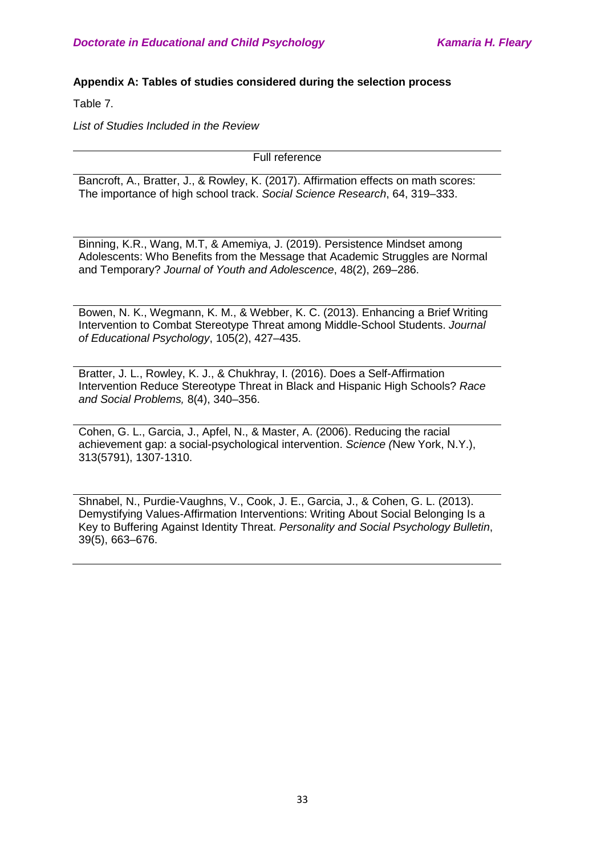### **Appendix A: Tables of studies considered during the selection process**

Table 7.

*List of Studies Included in the Review* 

Full reference

Bancroft, A., Bratter, J., & Rowley, K. (2017). Affirmation effects on math scores: The importance of high school track. *Social Science Research*, 64, 319–333.

Binning, K.R., Wang, M.T, & Amemiya, J. (2019). Persistence Mindset among Adolescents: Who Benefits from the Message that Academic Struggles are Normal and Temporary? *Journal of Youth and Adolescence*, 48(2), 269–286.

Bowen, N. K., Wegmann, K. M., & Webber, K. C. (2013). Enhancing a Brief Writing Intervention to Combat Stereotype Threat among Middle-School Students. *Journal of Educational Psychology*, 105(2), 427–435.

Bratter, J. L., Rowley, K. J., & Chukhray, I. (2016). Does a Self-Affirmation Intervention Reduce Stereotype Threat in Black and Hispanic High Schools? *Race and Social Problems,* 8(4), 340–356.

Cohen, G. L., Garcia, J., Apfel, N., & Master, A. (2006). Reducing the racial achievement gap: a social-psychological intervention. *Science (*New York, N.Y.), 313(5791), 1307‐1310.

Shnabel, N., Purdie-Vaughns, V., Cook, J. E., Garcia, J., & Cohen, G. L. (2013). Demystifying Values-Affirmation Interventions: Writing About Social Belonging Is a Key to Buffering Against Identity Threat. *Personality and Social Psychology Bulletin*, 39(5), 663–676.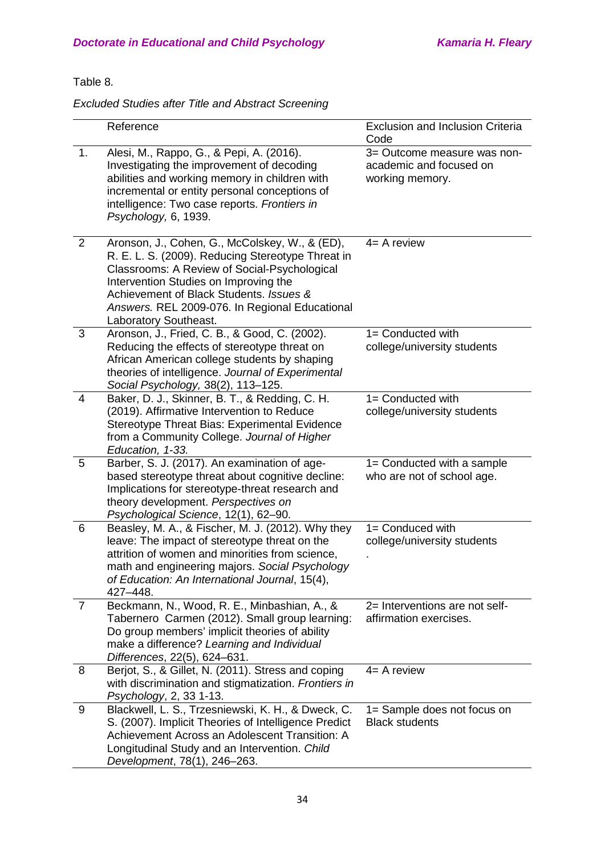### Table 8.

*Excluded Studies after Title and Abstract Screening* 

|                | Reference                                                                                                                                                                                                                                                                                                          | <b>Exclusion and Inclusion Criteria</b><br>Code                           |
|----------------|--------------------------------------------------------------------------------------------------------------------------------------------------------------------------------------------------------------------------------------------------------------------------------------------------------------------|---------------------------------------------------------------------------|
| 1.             | Alesi, M., Rappo, G., & Pepi, A. (2016).<br>Investigating the improvement of decoding<br>abilities and working memory in children with<br>incremental or entity personal conceptions of<br>intelligence: Two case reports. Frontiers in<br>Psychology, 6, 1939.                                                    | 3= Outcome measure was non-<br>academic and focused on<br>working memory. |
| 2              | Aronson, J., Cohen, G., McColskey, W., & (ED),<br>R. E. L. S. (2009). Reducing Stereotype Threat in<br>Classrooms: A Review of Social-Psychological<br>Intervention Studies on Improving the<br>Achievement of Black Students. Issues &<br>Answers. REL 2009-076. In Regional Educational<br>Laboratory Southeast. | $4=$ A review                                                             |
| 3              | Aronson, J., Fried, C. B., & Good, C. (2002).<br>Reducing the effects of stereotype threat on<br>African American college students by shaping<br>theories of intelligence. Journal of Experimental<br>Social Psychology, 38(2), 113-125.                                                                           | 1= Conducted with<br>college/university students                          |
| $\overline{4}$ | Baker, D. J., Skinner, B. T., & Redding, C. H.<br>(2019). Affirmative Intervention to Reduce<br>Stereotype Threat Bias: Experimental Evidence<br>from a Community College. Journal of Higher<br>Education, 1-33.                                                                                                   | 1= Conducted with<br>college/university students                          |
| 5              | Barber, S. J. (2017). An examination of age-<br>based stereotype threat about cognitive decline:<br>Implications for stereotype-threat research and<br>theory development. Perspectives on<br>Psychological Science, 12(1), 62-90.                                                                                 | 1= Conducted with a sample<br>who are not of school age.                  |
| 6              | Beasley, M. A., & Fischer, M. J. (2012). Why they<br>leave: The impact of stereotype threat on the<br>attrition of women and minorities from science,<br>math and engineering majors. Social Psychology<br>of Education: An International Journal, 15(4),<br>427-448.                                              | 1= Conduced with<br>college/university students                           |
| $\overline{7}$ | Beckmann, N., Wood, R. E., Minbashian, A., &<br>Tabernero Carmen (2012). Small group learning:<br>Do group members' implicit theories of ability<br>make a difference? Learning and Individual<br>Differences, 22(5), 624-631.                                                                                     | 2= Interventions are not self-<br>affirmation exercises.                  |
| 8              | Berjot, S., & Gillet, N. (2011). Stress and coping<br>with discrimination and stigmatization. Frontiers in<br>Psychology, 2, 33 1-13.                                                                                                                                                                              | $4=$ A review                                                             |
| 9              | Blackwell, L. S., Trzesniewski, K. H., & Dweck, C.<br>S. (2007). Implicit Theories of Intelligence Predict<br>Achievement Across an Adolescent Transition: A<br>Longitudinal Study and an Intervention. Child<br>Development, 78(1), 246-263.                                                                      | 1= Sample does not focus on<br><b>Black students</b>                      |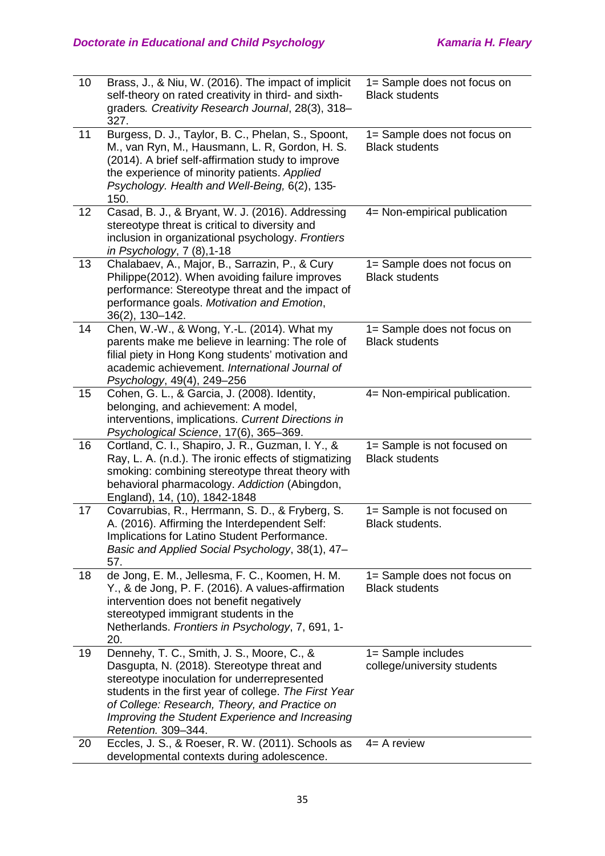| 10 | Brass, J., & Niu, W. (2016). The impact of implicit<br>self-theory on rated creativity in third- and sixth-<br>graders. Creativity Research Journal, 28(3), 318-<br>327.                                                                                                                                                    | 1= Sample does not focus on<br><b>Black students</b> |
|----|-----------------------------------------------------------------------------------------------------------------------------------------------------------------------------------------------------------------------------------------------------------------------------------------------------------------------------|------------------------------------------------------|
| 11 | Burgess, D. J., Taylor, B. C., Phelan, S., Spoont,<br>M., van Ryn, M., Hausmann, L. R, Gordon, H. S.<br>(2014). A brief self-affirmation study to improve<br>the experience of minority patients. Applied<br>Psychology. Health and Well-Being, 6(2), 135-<br>150.                                                          | 1= Sample does not focus on<br><b>Black students</b> |
| 12 | Casad, B. J., & Bryant, W. J. (2016). Addressing<br>stereotype threat is critical to diversity and<br>inclusion in organizational psychology. Frontiers<br>in Psychology, $7(8)$ , 1-18                                                                                                                                     | 4= Non-empirical publication                         |
| 13 | Chalabaev, A., Major, B., Sarrazin, P., & Cury<br>Philippe(2012). When avoiding failure improves<br>performance: Stereotype threat and the impact of<br>performance goals. Motivation and Emotion,<br>$36(2)$ , 130-142.                                                                                                    | 1= Sample does not focus on<br><b>Black students</b> |
| 14 | Chen, W.-W., & Wong, Y.-L. (2014). What my<br>parents make me believe in learning: The role of<br>filial piety in Hong Kong students' motivation and<br>academic achievement. International Journal of<br>Psychology, 49(4), 249-256                                                                                        | 1= Sample does not focus on<br><b>Black students</b> |
| 15 | Cohen, G. L., & Garcia, J. (2008). Identity,<br>belonging, and achievement: A model,<br>interventions, implications. Current Directions in<br>Psychological Science, 17(6), 365-369.                                                                                                                                        | 4= Non-empirical publication.                        |
| 16 | Cortland, C. I., Shapiro, J. R., Guzman, I. Y., &<br>Ray, L. A. (n.d.). The ironic effects of stigmatizing<br>smoking: combining stereotype threat theory with<br>behavioral pharmacology. Addiction (Abingdon,<br>England), 14, (10), 1842-1848                                                                            | 1= Sample is not focused on<br><b>Black students</b> |
| 17 | Covarrubias, R., Herrmann, S. D., & Fryberg, S.<br>A. (2016). Affirming the Interdependent Self:<br>Implications for Latino Student Performance.<br>Basic and Applied Social Psychology, 38(1), 47-<br>57.                                                                                                                  | 1= Sample is not focused on<br>Black students.       |
| 18 | de Jong, E. M., Jellesma, F. C., Koomen, H. M.<br>Y., & de Jong, P. F. (2016). A values-affirmation<br>intervention does not benefit negatively<br>stereotyped immigrant students in the<br>Netherlands. Frontiers in Psychology, 7, 691, 1-<br>20.                                                                         | 1= Sample does not focus on<br><b>Black students</b> |
| 19 | Dennehy, T. C., Smith, J. S., Moore, C., &<br>Dasgupta, N. (2018). Stereotype threat and<br>stereotype inoculation for underrepresented<br>students in the first year of college. The First Year<br>of College: Research, Theory, and Practice on<br>Improving the Student Experience and Increasing<br>Retention. 309-344. | 1= Sample includes<br>college/university students    |
| 20 | Eccles, J. S., & Roeser, R. W. (2011). Schools as<br>developmental contexts during adolescence.                                                                                                                                                                                                                             | $4=$ A review                                        |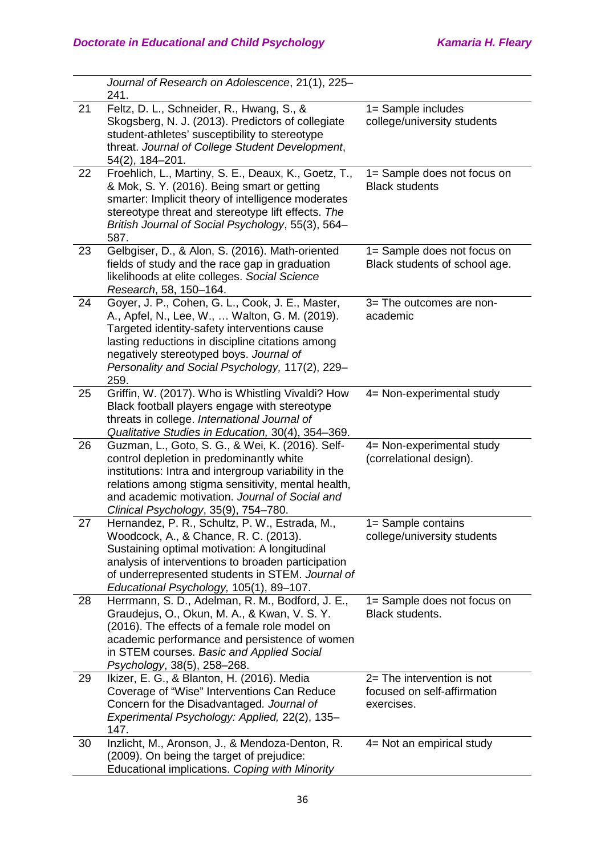|    | Journal of Research on Adolescence, 21(1), 225-<br>241.                                                                                                                                                                                                                                                      |                                                                           |
|----|--------------------------------------------------------------------------------------------------------------------------------------------------------------------------------------------------------------------------------------------------------------------------------------------------------------|---------------------------------------------------------------------------|
| 21 | Feltz, D. L., Schneider, R., Hwang, S., &<br>Skogsberg, N. J. (2013). Predictors of collegiate<br>student-athletes' susceptibility to stereotype<br>threat. Journal of College Student Development,<br>54(2), 184-201.                                                                                       | 1= Sample includes<br>college/university students                         |
| 22 | Froehlich, L., Martiny, S. E., Deaux, K., Goetz, T.,<br>& Mok, S. Y. (2016). Being smart or getting<br>smarter: Implicit theory of intelligence moderates<br>stereotype threat and stereotype lift effects. The<br>British Journal of Social Psychology, 55(3), 564-<br>587.                                 | 1= Sample does not focus on<br><b>Black students</b>                      |
| 23 | Gelbgiser, D., & Alon, S. (2016). Math-oriented<br>fields of study and the race gap in graduation<br>likelihoods at elite colleges. Social Science<br>Research, 58, 150-164.                                                                                                                                 | 1= Sample does not focus on<br>Black students of school age.              |
| 24 | Goyer, J. P., Cohen, G. L., Cook, J. E., Master,<br>A., Apfel, N., Lee, W.,  Walton, G. M. (2019).<br>Targeted identity-safety interventions cause<br>lasting reductions in discipline citations among<br>negatively stereotyped boys. Journal of<br>Personality and Social Psychology, 117(2), 229-<br>259. | 3= The outcomes are non-<br>academic                                      |
| 25 | Griffin, W. (2017). Who is Whistling Vivaldi? How<br>Black football players engage with stereotype<br>threats in college. International Journal of<br>Qualitative Studies in Education, 30(4), 354-369.                                                                                                      | 4= Non-experimental study                                                 |
| 26 | Guzman, L., Goto, S. G., & Wei, K. (2016). Self-<br>control depletion in predominantly white<br>institutions: Intra and intergroup variability in the<br>relations among stigma sensitivity, mental health,<br>and academic motivation. Journal of Social and<br>Clinical Psychology, 35(9), 754-780.        | 4= Non-experimental study<br>(correlational design).                      |
| 27 | Hernandez, P. R., Schultz, P. W., Estrada, M.,<br>Woodcock, A., & Chance, R. C. (2013).<br>Sustaining optimal motivation: A longitudinal<br>analysis of interventions to broaden participation<br>of underrepresented students in STEM. Journal of<br>Educational Psychology, 105(1), 89-107.                | 1= Sample contains<br>college/university students                         |
| 28 | Herrmann, S. D., Adelman, R. M., Bodford, J. E.,<br>Graudejus, O., Okun, M. A., & Kwan, V. S. Y.<br>(2016). The effects of a female role model on<br>academic performance and persistence of women<br>in STEM courses. Basic and Applied Social<br>Psychology, 38(5), 258-268.                               | 1= Sample does not focus on<br>Black students.                            |
| 29 | Ikizer, E. G., & Blanton, H. (2016). Media<br>Coverage of "Wise" Interventions Can Reduce<br>Concern for the Disadvantaged. Journal of<br>Experimental Psychology: Applied, 22(2), 135-<br>147.                                                                                                              | $2=$ The intervention is not<br>focused on self-affirmation<br>exercises. |
| 30 | Inzlicht, M., Aronson, J., & Mendoza-Denton, R.<br>(2009). On being the target of prejudice:<br>Educational implications. Coping with Minority                                                                                                                                                               | 4= Not an empirical study                                                 |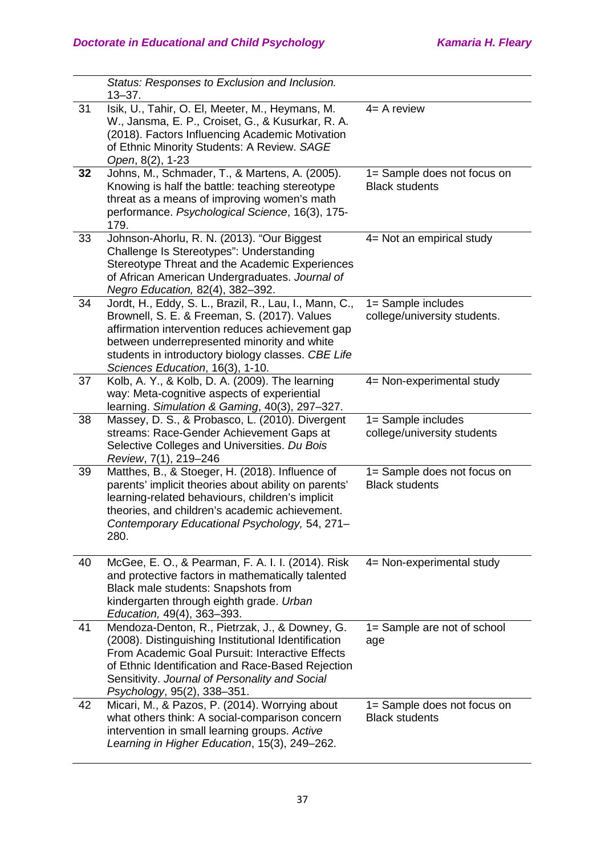|    | Status: Responses to Exclusion and Inclusion.<br>$13 - 37.$                                                                                                                                                                                                                                         |                                                      |
|----|-----------------------------------------------------------------------------------------------------------------------------------------------------------------------------------------------------------------------------------------------------------------------------------------------------|------------------------------------------------------|
| 31 | Isik, U., Tahir, O. El, Meeter, M., Heymans, M.<br>W., Jansma, E. P., Croiset, G., & Kusurkar, R. A.<br>(2018). Factors Influencing Academic Motivation<br>of Ethnic Minority Students: A Review. SAGE<br>Open, 8(2), 1-23                                                                          | $4=$ A review                                        |
| 32 | Johns, M., Schmader, T., & Martens, A. (2005).<br>Knowing is half the battle: teaching stereotype<br>threat as a means of improving women's math<br>performance. Psychological Science, 16(3), 175-<br>179.                                                                                         | 1= Sample does not focus on<br><b>Black students</b> |
| 33 | Johnson-Ahorlu, R. N. (2013). "Our Biggest<br>Challenge Is Stereotypes": Understanding<br>Stereotype Threat and the Academic Experiences<br>of African American Undergraduates. Journal of<br>Negro Education, 82(4), 382-392.                                                                      | 4= Not an empirical study                            |
| 34 | Jordt, H., Eddy, S. L., Brazil, R., Lau, I., Mann, C.,<br>Brownell, S. E. & Freeman, S. (2017). Values<br>affirmation intervention reduces achievement gap<br>between underrepresented minority and white<br>students in introductory biology classes. CBE Life<br>Sciences Education, 16(3), 1-10. | 1= Sample includes<br>college/university students.   |
| 37 | Kolb, A. Y., & Kolb, D. A. (2009). The learning<br>way: Meta-cognitive aspects of experiential<br>learning. Simulation & Gaming, 40(3), 297-327.                                                                                                                                                    | 4= Non-experimental study                            |
| 38 | Massey, D. S., & Probasco, L. (2010). Divergent<br>streams: Race-Gender Achievement Gaps at<br>Selective Colleges and Universities. Du Bois<br>Review, 7(1), 219-246                                                                                                                                | 1= Sample includes<br>college/university students    |
| 39 | Matthes, B., & Stoeger, H. (2018). Influence of<br>parents' implicit theories about ability on parents'<br>learning-related behaviours, children's implicit<br>theories, and children's academic achievement.<br>Contemporary Educational Psychology, 54, 271-<br>280.                              | 1= Sample does not focus on<br><b>Black students</b> |
| 40 | McGee, E. O., & Pearman, F. A. I. I. (2014). Risk<br>and protective factors in mathematically talented<br>Black male students: Snapshots from<br>kindergarten through eighth grade. Urban<br>Education, 49(4), 363-393.                                                                             | 4= Non-experimental study                            |
| 41 | Mendoza-Denton, R., Pietrzak, J., & Downey, G.<br>(2008). Distinguishing Institutional Identification<br>From Academic Goal Pursuit: Interactive Effects<br>of Ethnic Identification and Race-Based Rejection<br>Sensitivity. Journal of Personality and Social<br>Psychology, 95(2), 338-351.      | 1= Sample are not of school<br>age                   |
| 42 | Micari, M., & Pazos, P. (2014). Worrying about<br>what others think: A social-comparison concern                                                                                                                                                                                                    | 1= Sample does not focus on<br><b>Black students</b> |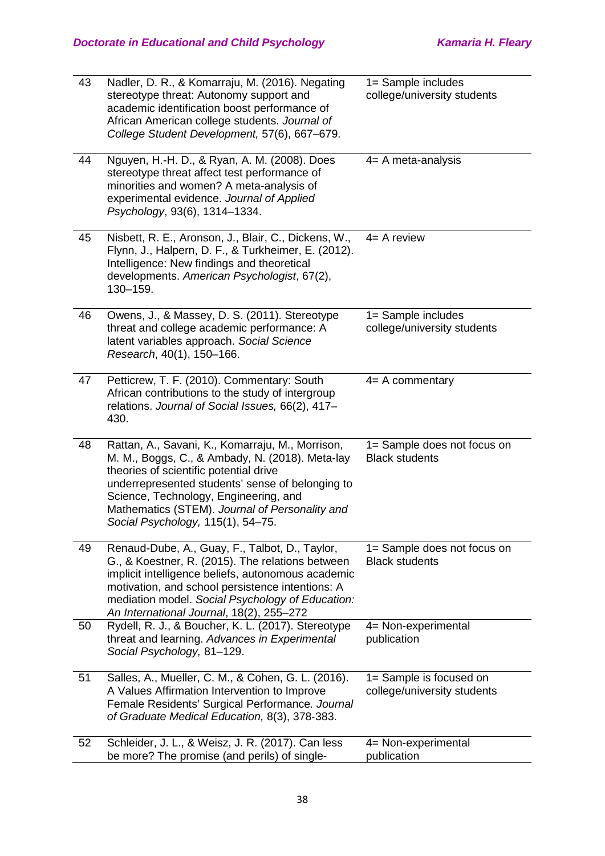| 43 | Nadler, D. R., & Komarraju, M. (2016). Negating<br>stereotype threat: Autonomy support and<br>academic identification boost performance of<br>African American college students. Journal of<br>College Student Development, 57(6), 667-679.                                                                                       | 1= Sample includes<br>college/university students      |
|----|-----------------------------------------------------------------------------------------------------------------------------------------------------------------------------------------------------------------------------------------------------------------------------------------------------------------------------------|--------------------------------------------------------|
| 44 | Nguyen, H.-H. D., & Ryan, A. M. (2008). Does<br>stereotype threat affect test performance of<br>minorities and women? A meta-analysis of<br>experimental evidence. Journal of Applied<br>Psychology, 93(6), 1314-1334.                                                                                                            | $4=$ A meta-analysis                                   |
| 45 | Nisbett, R. E., Aronson, J., Blair, C., Dickens, W.,<br>Flynn, J., Halpern, D. F., & Turkheimer, E. (2012).<br>Intelligence: New findings and theoretical<br>developments. American Psychologist, 67(2),<br>130-159.                                                                                                              | $4=$ A review                                          |
| 46 | Owens, J., & Massey, D. S. (2011). Stereotype<br>threat and college academic performance: A<br>latent variables approach. Social Science<br>Research, 40(1), 150-166.                                                                                                                                                             | 1= Sample includes<br>college/university students      |
| 47 | Petticrew, T. F. (2010). Commentary: South<br>African contributions to the study of intergroup<br>relations. Journal of Social Issues, 66(2), 417-<br>430.                                                                                                                                                                        | $4=$ A commentary                                      |
| 48 | Rattan, A., Savani, K., Komarraju, M., Morrison,<br>M. M., Boggs, C., & Ambady, N. (2018). Meta-lay<br>theories of scientific potential drive<br>underrepresented students' sense of belonging to<br>Science, Technology, Engineering, and<br>Mathematics (STEM). Journal of Personality and<br>Social Psychology, 115(1), 54-75. | 1= Sample does not focus on<br><b>Black students</b>   |
| 49 | Renaud-Dube, A., Guay, F., Talbot, D., Taylor,<br>G., & Koestner, R. (2015). The relations between<br>implicit intelligence beliefs, autonomous academic<br>motivation, and school persistence intentions: A<br>mediation model. Social Psychology of Education:<br>An International Journal, 18(2), 255-272                      | 1= Sample does not focus on<br><b>Black students</b>   |
| 50 | Rydell, R. J., & Boucher, K. L. (2017). Stereotype<br>threat and learning. Advances in Experimental<br>Social Psychology, 81-129.                                                                                                                                                                                                 | 4= Non-experimental<br>publication                     |
| 51 | Salles, A., Mueller, C. M., & Cohen, G. L. (2016).<br>A Values Affirmation Intervention to Improve<br>Female Residents' Surgical Performance. Journal<br>of Graduate Medical Education, 8(3), 378-383.                                                                                                                            | 1= Sample is focused on<br>college/university students |
| 52 | Schleider, J. L., & Weisz, J. R. (2017). Can less<br>be more? The promise (and perils) of single-                                                                                                                                                                                                                                 | 4= Non-experimental<br>publication                     |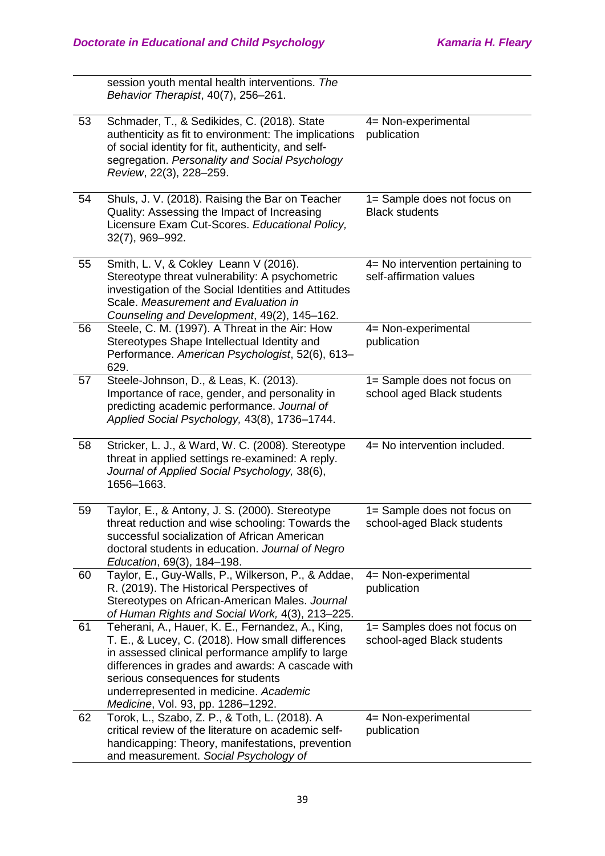session youth mental health interventions. *The Behavior Therapist*, 40(7), 256–261. 53 Schmader, T., & Sedikides, C. (2018). State authenticity as fit to environment: The implications of social identity for fit, authenticity, and selfsegregation. *Personality and Social Psychology Review*, 22(3), 228–259. 4= Non-experimental publication 54 Shuls, J. V. (2018). Raising the Bar on Teacher Quality: Assessing the Impact of Increasing Licensure Exam Cut-Scores. *Educational Policy,* 32(7), 969–992. 1= Sample does not focus on Black students 55 Smith, L. V, & Cokley Leann V (2016). Stereotype threat vulnerability: A psychometric investigation of the Social Identities and Attitudes Scale. *Measurement and Evaluation in Counseling and Development*, 49(2), 145–162. 4= No intervention pertaining to self-affirmation values 56 Steele, C. M. (1997). A Threat in the Air: How Stereotypes Shape Intellectual Identity and Performance. *American Psychologist*, 52(6), 613– 629. 4= Non-experimental publication 57 Steele-Johnson, D., & Leas, K. (2013). Importance of race, gender, and personality in predicting academic performance. *Journal of Applied Social Psychology,* 43(8), 1736–1744. 1= Sample does not focus on school aged Black students 58 Stricker, L. J., & Ward, W. C. (2008). Stereotype threat in applied settings re-examined: A reply. *Journal of Applied Social Psychology,* 38(6), 1656–1663. 4= No intervention included. 59 Taylor, E., & Antony, J. S. (2000). Stereotype threat reduction and wise schooling: Towards the successful socialization of African American doctoral students in education. *Journal of Negro Education*, 69(3), 184–198. 1= Sample does not focus on school-aged Black students 60 Taylor, E., Guy-Walls, P., Wilkerson, P., & Addae, R. (2019). The Historical Perspectives of Stereotypes on African-American Males. *Journal of Human Rights and Social Work,* 4(3), 213–225. 4= Non-experimental publication 61 Teherani, A., Hauer, K. E., Fernandez, A., King, T. E., & Lucey, C. (2018). How small differences in assessed clinical performance amplify to large differences in grades and awards: A cascade with serious consequences for students underrepresented in medicine. *Academic Medicine*, Vol. 93, pp. 1286–1292. 1= Samples does not focus on school-aged Black students 62 Torok, L., Szabo, Z. P., & Toth, L. (2018). A critical review of the literature on academic selfhandicapping: Theory, manifestations, prevention and measurement. *Social Psychology of*  4= Non-experimental publication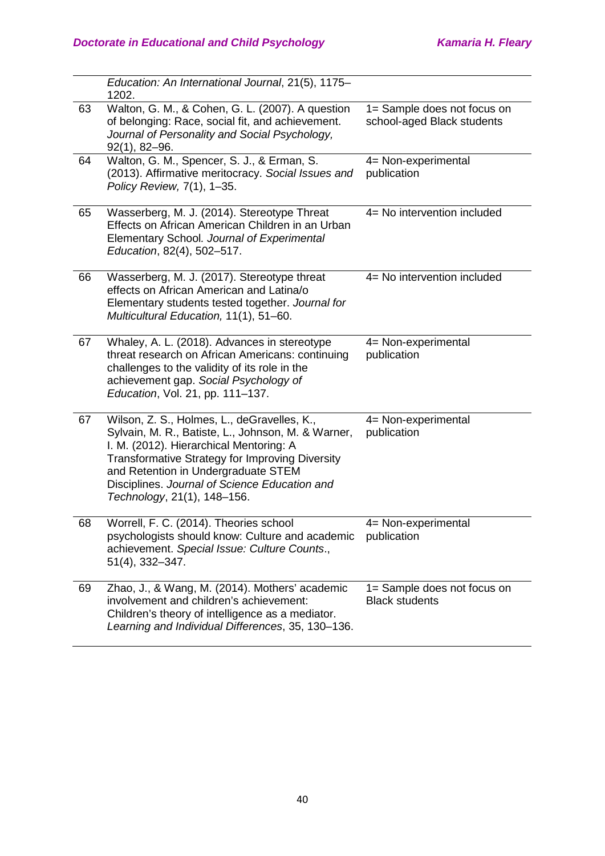|    | Education: An International Journal, 21(5), 1175-<br>1202.                                                                                                                                                                                                                                                                    |                                                           |
|----|-------------------------------------------------------------------------------------------------------------------------------------------------------------------------------------------------------------------------------------------------------------------------------------------------------------------------------|-----------------------------------------------------------|
| 63 | Walton, G. M., & Cohen, G. L. (2007). A question<br>of belonging: Race, social fit, and achievement.<br>Journal of Personality and Social Psychology,<br>$92(1), 82 - 96.$                                                                                                                                                    | 1= Sample does not focus on<br>school-aged Black students |
| 64 | Walton, G. M., Spencer, S. J., & Erman, S.<br>(2013). Affirmative meritocracy. Social Issues and<br>Policy Review, 7(1), 1-35.                                                                                                                                                                                                | 4= Non-experimental<br>publication                        |
| 65 | Wasserberg, M. J. (2014). Stereotype Threat<br>Effects on African American Children in an Urban<br>Elementary School. Journal of Experimental<br>Education, 82(4), 502-517.                                                                                                                                                   | 4= No intervention included                               |
| 66 | Wasserberg, M. J. (2017). Stereotype threat<br>effects on African American and Latina/o<br>Elementary students tested together. Journal for<br>Multicultural Education, 11(1), 51-60.                                                                                                                                         | 4= No intervention included                               |
| 67 | Whaley, A. L. (2018). Advances in stereotype<br>threat research on African Americans: continuing<br>challenges to the validity of its role in the<br>achievement gap. Social Psychology of<br>Education, Vol. 21, pp. 111-137.                                                                                                | 4= Non-experimental<br>publication                        |
| 67 | Wilson, Z. S., Holmes, L., deGravelles, K.,<br>Sylvain, M. R., Batiste, L., Johnson, M. & Warner,<br>I. M. (2012). Hierarchical Mentoring: A<br><b>Transformative Strategy for Improving Diversity</b><br>and Retention in Undergraduate STEM<br>Disciplines. Journal of Science Education and<br>Technology, 21(1), 148-156. | 4= Non-experimental<br>publication                        |
| 68 | Worrell, F. C. (2014). Theories school<br>psychologists should know: Culture and academic<br>achievement. Special Issue: Culture Counts.,<br>51(4), 332-347.                                                                                                                                                                  | 4= Non-experimental<br>publication                        |
| 69 | Zhao, J., & Wang, M. (2014). Mothers' academic<br>involvement and children's achievement:<br>Children's theory of intelligence as a mediator.<br>Learning and Individual Differences, 35, 130-136.                                                                                                                            | 1= Sample does not focus on<br><b>Black students</b>      |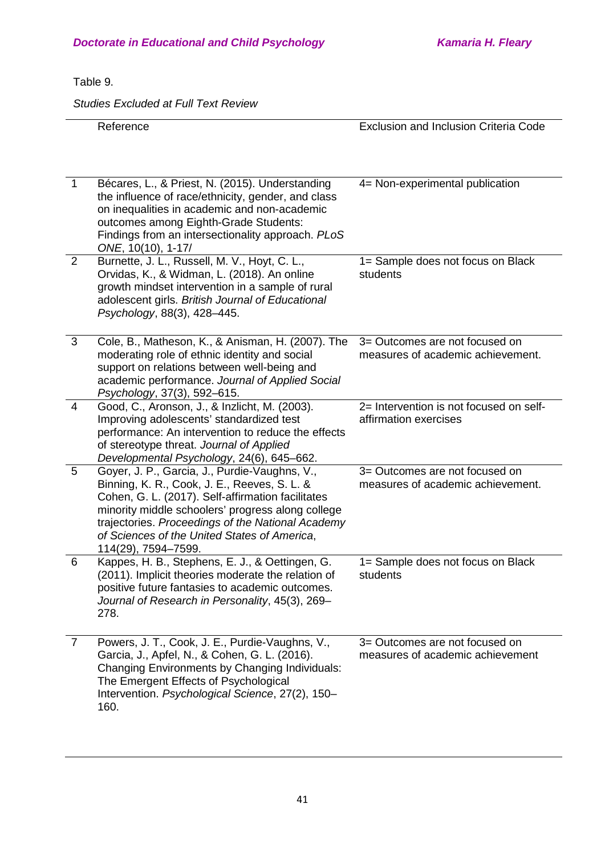### Table 9.

*Studies Excluded at Full Text Review*

|   | Reference                                                                                                                                                                                                                                                                                                                           | Exclusion and Inclusion Criteria Code                               |
|---|-------------------------------------------------------------------------------------------------------------------------------------------------------------------------------------------------------------------------------------------------------------------------------------------------------------------------------------|---------------------------------------------------------------------|
| 1 | Bécares, L., & Priest, N. (2015). Understanding<br>the influence of race/ethnicity, gender, and class<br>on inequalities in academic and non-academic<br>outcomes among Eighth-Grade Students:<br>Findings from an intersectionality approach. PLoS<br>ONE, 10(10), 1-17/                                                           | 4= Non-experimental publication                                     |
| 2 | Burnette, J. L., Russell, M. V., Hoyt, C. L.,<br>Orvidas, K., & Widman, L. (2018). An online<br>growth mindset intervention in a sample of rural<br>adolescent girls. British Journal of Educational<br>Psychology, 88(3), 428-445.                                                                                                 | 1= Sample does not focus on Black<br>students                       |
| 3 | Cole, B., Matheson, K., & Anisman, H. (2007). The<br>moderating role of ethnic identity and social<br>support on relations between well-being and<br>academic performance. Journal of Applied Social<br>Psychology, 37(3), 592-615.                                                                                                 | 3= Outcomes are not focused on<br>measures of academic achievement. |
| 4 | Good, C., Aronson, J., & Inzlicht, M. (2003).<br>Improving adolescents' standardized test<br>performance: An intervention to reduce the effects<br>of stereotype threat. Journal of Applied<br>Developmental Psychology, 24(6), 645-662.                                                                                            | 2= Intervention is not focused on self-<br>affirmation exercises    |
| 5 | Goyer, J. P., Garcia, J., Purdie-Vaughns, V.,<br>Binning, K. R., Cook, J. E., Reeves, S. L. &<br>Cohen, G. L. (2017). Self-affirmation facilitates<br>minority middle schoolers' progress along college<br>trajectories. Proceedings of the National Academy<br>of Sciences of the United States of America,<br>114(29), 7594-7599. | 3= Outcomes are not focused on<br>measures of academic achievement. |
| 6 | Kappes, H. B., Stephens, E. J., & Oettingen, G.<br>(2011). Implicit theories moderate the relation of<br>positive future fantasies to academic outcomes.<br>Journal of Research in Personality, 45(3), 269-<br>278.                                                                                                                 | 1= Sample does not focus on Black<br>students                       |
| 7 | Powers, J. T., Cook, J. E., Purdie-Vaughns, V.,<br>Garcia, J., Apfel, N., & Cohen, G. L. (2016).<br>Changing Environments by Changing Individuals:<br>The Emergent Effects of Psychological<br>Intervention. Psychological Science, 27(2), 150-<br>160.                                                                             | 3= Outcomes are not focused on<br>measures of academic achievement  |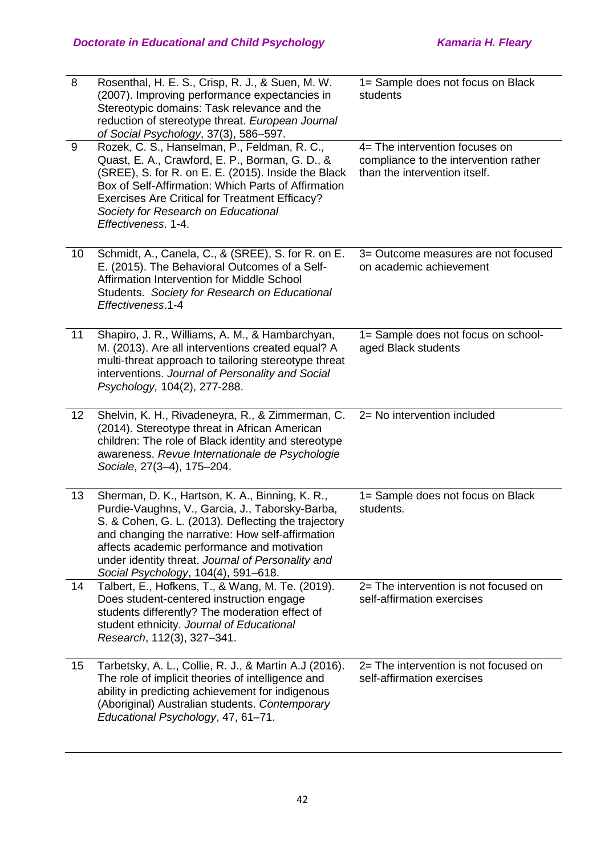| 8  | Rosenthal, H. E. S., Crisp, R. J., & Suen, M. W.<br>(2007). Improving performance expectancies in<br>Stereotypic domains: Task relevance and the<br>reduction of stereotype threat. European Journal<br>of Social Psychology, 37(3), 586-597.                                                                                                            | 1= Sample does not focus on Black<br>students                                                            |
|----|----------------------------------------------------------------------------------------------------------------------------------------------------------------------------------------------------------------------------------------------------------------------------------------------------------------------------------------------------------|----------------------------------------------------------------------------------------------------------|
| 9  | Rozek, C. S., Hanselman, P., Feldman, R. C.,<br>Quast, E. A., Crawford, E. P., Borman, G. D., &<br>(SREE), S. for R. on E. E. (2015). Inside the Black<br>Box of Self-Affirmation: Which Parts of Affirmation<br><b>Exercises Are Critical for Treatment Efficacy?</b><br>Society for Research on Educational<br>Effectiveness. 1-4.                     | 4= The intervention focuses on<br>compliance to the intervention rather<br>than the intervention itself. |
| 10 | Schmidt, A., Canela, C., & (SREE), S. for R. on E.<br>E. (2015). The Behavioral Outcomes of a Self-<br>Affirmation Intervention for Middle School<br>Students. Society for Research on Educational<br>Effectiveness.1-4                                                                                                                                  | 3= Outcome measures are not focused<br>on academic achievement                                           |
| 11 | Shapiro, J. R., Williams, A. M., & Hambarchyan,<br>M. (2013). Are all interventions created equal? A<br>multi-threat approach to tailoring stereotype threat<br>interventions. Journal of Personality and Social<br>Psychology, 104(2), 277-288.                                                                                                         | 1= Sample does not focus on school-<br>aged Black students                                               |
| 12 | Shelvin, K. H., Rivadeneyra, R., & Zimmerman, C.<br>(2014). Stereotype threat in African American<br>children: The role of Black identity and stereotype<br>awareness. Revue Internationale de Psychologie<br>Sociale, 27(3-4), 175-204.                                                                                                                 | 2= No intervention included                                                                              |
| 13 | Sherman, D. K., Hartson, K. A., Binning, K. R.,<br>Purdie-Vaughns, V., Garcia, J., Taborsky-Barba,<br>S. & Cohen, G. L. (2013). Deflecting the trajectory<br>and changing the narrative: How self-affirmation<br>affects academic performance and motivation<br>under identity threat. Journal of Personality and<br>Social Psychology, 104(4), 591-618. | 1= Sample does not focus on Black<br>students.                                                           |
| 14 | Talbert, E., Hofkens, T., & Wang, M. Te. (2019).<br>Does student-centered instruction engage<br>students differently? The moderation effect of<br>student ethnicity. Journal of Educational<br>Research, 112(3), 327-341.                                                                                                                                | 2= The intervention is not focused on<br>self-affirmation exercises                                      |
| 15 | Tarbetsky, A. L., Collie, R. J., & Martin A.J (2016).<br>The role of implicit theories of intelligence and<br>ability in predicting achievement for indigenous<br>(Aboriginal) Australian students. Contemporary<br>Educational Psychology, 47, 61-71.                                                                                                   | 2= The intervention is not focused on<br>self-affirmation exercises                                      |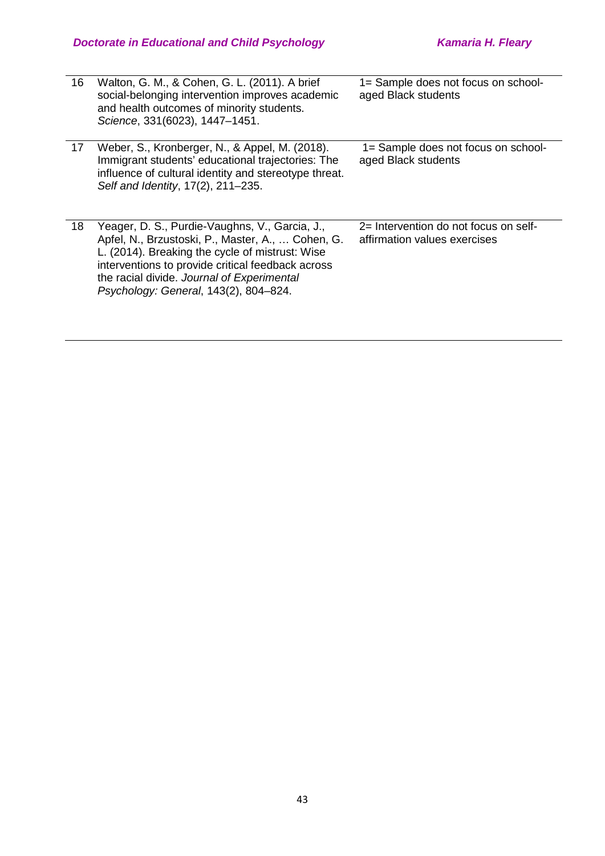| 16 | Walton, G. M., & Cohen, G. L. (2011). A brief<br>social-belonging intervention improves academic<br>and health outcomes of minority students.<br>Science, 331(6023), 1447-1451.                                                                                                                    | 1= Sample does not focus on school-<br>aged Black students            |
|----|----------------------------------------------------------------------------------------------------------------------------------------------------------------------------------------------------------------------------------------------------------------------------------------------------|-----------------------------------------------------------------------|
| 17 | Weber, S., Kronberger, N., & Appel, M. (2018).<br>Immigrant students' educational trajectories: The<br>influence of cultural identity and stereotype threat.<br>Self and Identity, 17(2), 211-235.                                                                                                 | 1= Sample does not focus on school-<br>aged Black students            |
| 18 | Yeager, D. S., Purdie-Vaughns, V., Garcia, J.,<br>Apfel, N., Brzustoski, P., Master, A.,  Cohen, G.<br>L. (2014). Breaking the cycle of mistrust: Wise<br>interventions to provide critical feedback across<br>the racial divide. Journal of Experimental<br>Psychology: General, 143(2), 804-824. | 2= Intervention do not focus on self-<br>affirmation values exercises |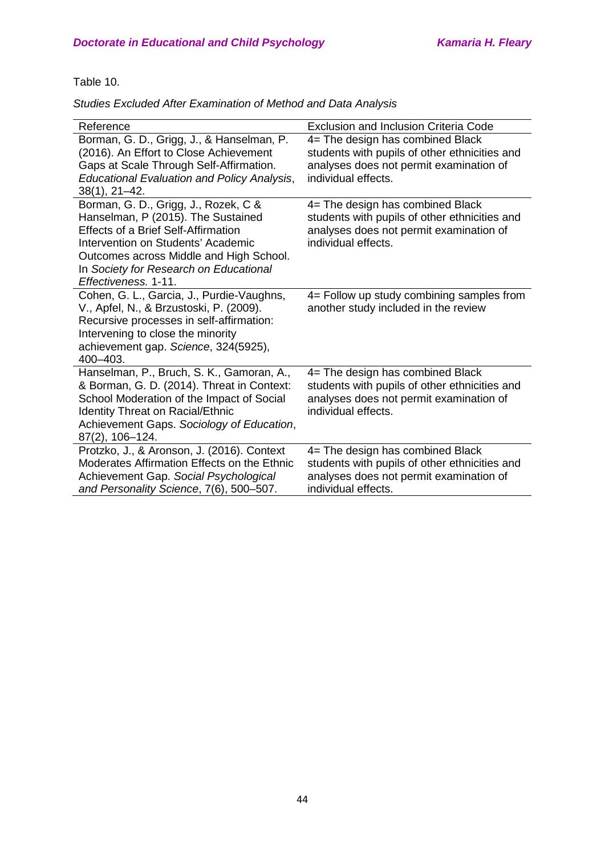Table 10.

| Reference                                                                                                                                                                                                                                                                   | <b>Exclusion and Inclusion Criteria Code</b>                                                                                                        |
|-----------------------------------------------------------------------------------------------------------------------------------------------------------------------------------------------------------------------------------------------------------------------------|-----------------------------------------------------------------------------------------------------------------------------------------------------|
| Borman, G. D., Grigg, J., & Hanselman, P.<br>(2016). An Effort to Close Achievement<br>Gaps at Scale Through Self-Affirmation.                                                                                                                                              | 4= The design has combined Black<br>students with pupils of other ethnicities and<br>analyses does not permit examination of                        |
| <b>Educational Evaluation and Policy Analysis,</b><br>$38(1), 21-42.$                                                                                                                                                                                                       | individual effects.                                                                                                                                 |
| Borman, G. D., Grigg, J., Rozek, C &<br>Hanselman, P (2015). The Sustained<br><b>Effects of a Brief Self-Affirmation</b><br>Intervention on Students' Academic<br>Outcomes across Middle and High School.<br>In Society for Research on Educational<br>Effectiveness. 1-11. | 4= The design has combined Black<br>students with pupils of other ethnicities and<br>analyses does not permit examination of<br>individual effects. |
| Cohen, G. L., Garcia, J., Purdie-Vaughns,<br>V., Apfel, N., & Brzustoski, P. (2009).<br>Recursive processes in self-affirmation:<br>Intervening to close the minority<br>achievement gap. Science, 324(5925),<br>400-403.                                                   | 4= Follow up study combining samples from<br>another study included in the review                                                                   |
| Hanselman, P., Bruch, S. K., Gamoran, A.,<br>& Borman, G. D. (2014). Threat in Context:<br>School Moderation of the Impact of Social<br><b>Identity Threat on Racial/Ethnic</b><br>Achievement Gaps. Sociology of Education,<br>87(2), 106-124.                             | 4= The design has combined Black<br>students with pupils of other ethnicities and<br>analyses does not permit examination of<br>individual effects. |
| Protzko, J., & Aronson, J. (2016). Context<br>Moderates Affirmation Effects on the Ethnic<br>Achievement Gap. Social Psychological<br>and Personality Science, 7(6), 500-507.                                                                                               | 4= The design has combined Black<br>students with pupils of other ethnicities and<br>analyses does not permit examination of<br>individual effects. |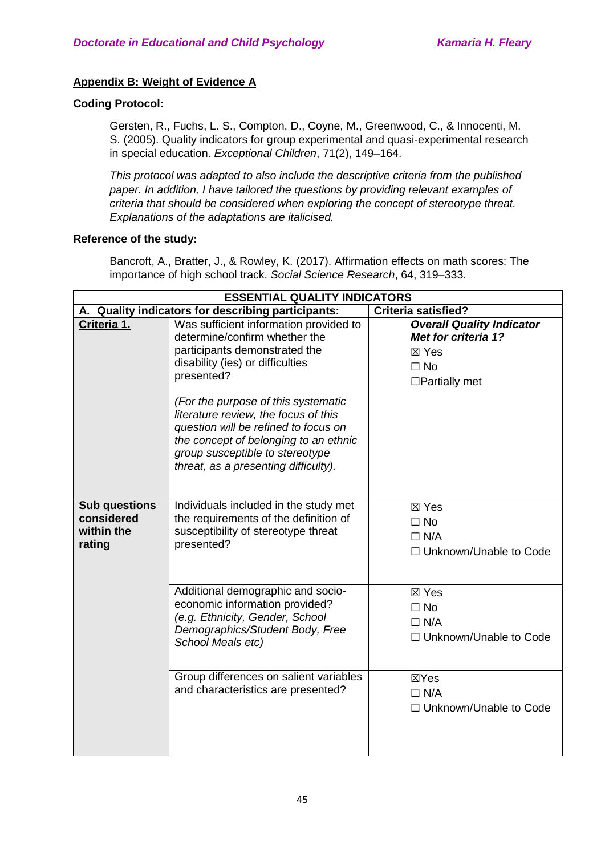### **Appendix B: Weight of Evidence A**

### **Coding Protocol:**

Gersten, R., Fuchs, L. S., Compton, D., Coyne, M., Greenwood, C., & Innocenti, M. S. (2005). Quality indicators for group experimental and quasi-experimental research in special education. *Exceptional Children*, 71(2), 149–164.

*This protocol was adapted to also include the descriptive criteria from the published paper. In addition, I have tailored the questions by providing relevant examples of criteria that should be considered when exploring the concept of stereotype threat. Explanations of the adaptations are italicised.* 

### **Reference of the study:**

Bancroft, A., Bratter, J., & Rowley, K. (2017). Affirmation effects on math scores: The importance of high school track. *Social Science Research*, 64, 319–333.

| <b>ESSENTIAL QUALITY INDICATORS</b>                        |                                                                                                                                                                                                                                         |                                                                                                       |
|------------------------------------------------------------|-----------------------------------------------------------------------------------------------------------------------------------------------------------------------------------------------------------------------------------------|-------------------------------------------------------------------------------------------------------|
|                                                            | A. Quality indicators for describing participants:                                                                                                                                                                                      | <b>Criteria satisfied?</b>                                                                            |
| Criteria 1.                                                | Was sufficient information provided to<br>determine/confirm whether the<br>participants demonstrated the<br>disability (ies) or difficulties<br>presented?                                                                              | <b>Overall Quality Indicator</b><br>Met for criteria 1?<br>⊠ Yes<br>$\Box$ No<br>$\Box$ Partially met |
|                                                            | (For the purpose of this systematic<br>literature review, the focus of this<br>question will be refined to focus on<br>the concept of belonging to an ethnic<br>group susceptible to stereotype<br>threat, as a presenting difficulty). |                                                                                                       |
| <b>Sub questions</b><br>considered<br>within the<br>rating | Individuals included in the study met<br>the requirements of the definition of<br>susceptibility of stereotype threat<br>presented?                                                                                                     | ⊠ Yes<br>$\Box$ No<br>$\Box$ N/A<br>$\Box$ Unknown/Unable to Code                                     |
|                                                            | Additional demographic and socio-<br>economic information provided?<br>(e.g. Ethnicity, Gender, School<br>Demographics/Student Body, Free<br>School Meals etc)                                                                          | ⊠ Yes<br>$\Box$ No<br>$\Box$ N/A<br>□ Unknown/Unable to Code                                          |
|                                                            | Group differences on salient variables<br>and characteristics are presented?                                                                                                                                                            | ⊠Yes<br>$\Box$ N/A<br>$\Box$ Unknown/Unable to Code                                                   |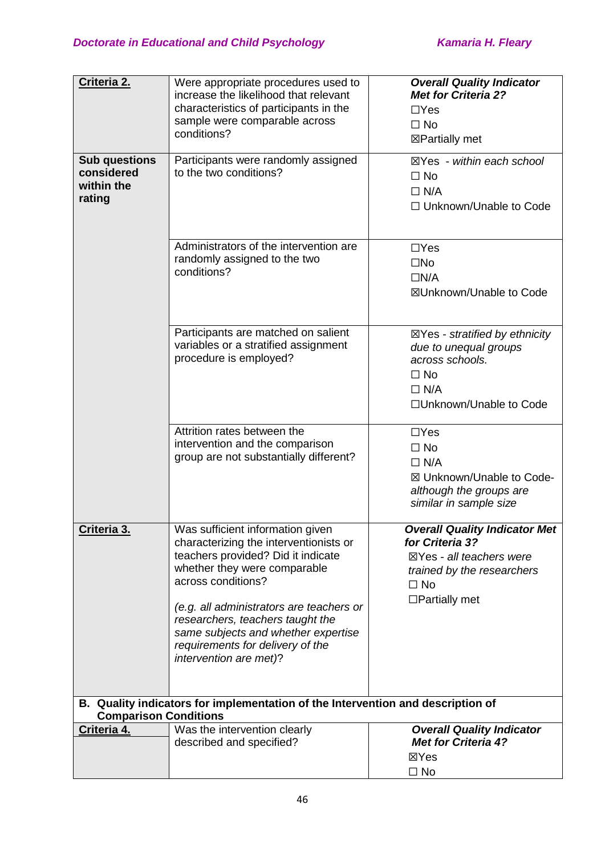| Criteria 2.                                                | Were appropriate procedures used to<br>increase the likelihood that relevant<br>characteristics of participants in the<br>sample were comparable across<br>conditions?                                                                                                                                                                                      | <b>Overall Quality Indicator</b><br><b>Met for Criteria 2?</b><br>$\Box$ Yes<br>$\Box$ No<br>⊠Partially met                                                       |
|------------------------------------------------------------|-------------------------------------------------------------------------------------------------------------------------------------------------------------------------------------------------------------------------------------------------------------------------------------------------------------------------------------------------------------|-------------------------------------------------------------------------------------------------------------------------------------------------------------------|
| <b>Sub questions</b><br>considered<br>within the<br>rating | Participants were randomly assigned<br>to the two conditions?                                                                                                                                                                                                                                                                                               | $\boxtimes$ Yes - within each school<br>$\Box$ No<br>$\Box$ N/A<br>□ Unknown/Unable to Code                                                                       |
|                                                            | Administrators of the intervention are<br>randomly assigned to the two<br>conditions?                                                                                                                                                                                                                                                                       | $\Box$ Yes<br>$\square$ No<br>$\Box N/A$<br>⊠Unknown/Unable to Code                                                                                               |
|                                                            | Participants are matched on salient<br>variables or a stratified assignment<br>procedure is employed?                                                                                                                                                                                                                                                       | $\boxtimes$ Yes - stratified by ethnicity<br>due to unequal groups<br>across schools.<br>$\Box$ No<br>$\Box$ N/A<br>□Unknown/Unable to Code                       |
|                                                            | Attrition rates between the<br>intervention and the comparison<br>group are not substantially different?                                                                                                                                                                                                                                                    | $\Box$ Yes<br>$\Box$ No<br>$\Box$ N/A<br>⊠ Unknown/Unable to Code-<br>although the groups are<br>similar in sample size                                           |
| Criteria 3.                                                | Was sufficient information given<br>characterizing the interventionists or<br>teachers provided? Did it indicate<br>whether they were comparable<br>across conditions?<br>(e.g. all administrators are teachers or<br>researchers, teachers taught the<br>same subjects and whether expertise<br>requirements for delivery of the<br>intervention are met)? | <b>Overall Quality Indicator Met</b><br>for Criteria 3?<br>$\boxtimes$ Yes - all teachers were<br>trained by the researchers<br>$\Box$ No<br>$\Box$ Partially met |
| <b>Comparison Conditions</b>                               | B. Quality indicators for implementation of the Intervention and description of                                                                                                                                                                                                                                                                             |                                                                                                                                                                   |
| Criteria 4.                                                | Was the intervention clearly<br>described and specified?                                                                                                                                                                                                                                                                                                    | <b>Overall Quality Indicator</b><br><b>Met for Criteria 4?</b><br>⊠Yes<br>$\Box$ No                                                                               |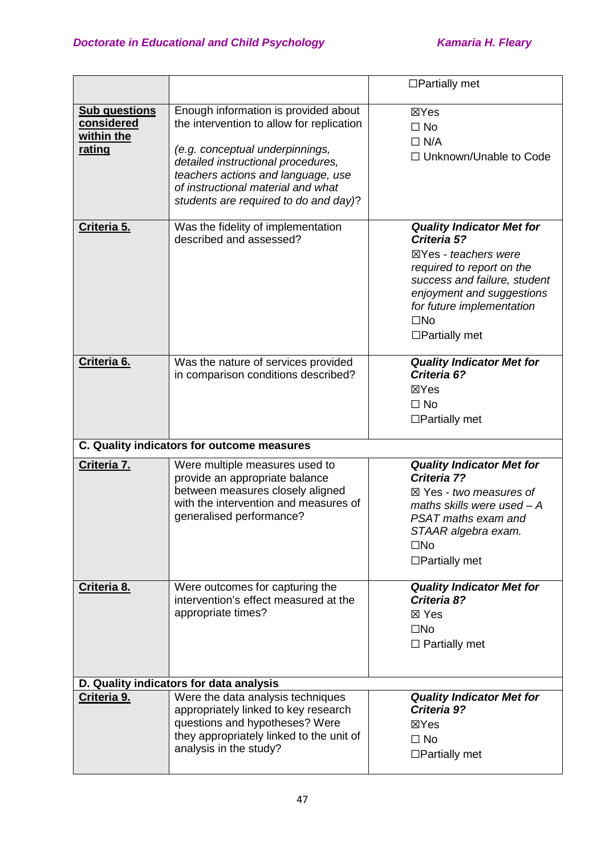|                                                            |                                                                                                                                                                                                                                                                                 | $\Box$ Partially met                                                                                                                                                                                                                   |
|------------------------------------------------------------|---------------------------------------------------------------------------------------------------------------------------------------------------------------------------------------------------------------------------------------------------------------------------------|----------------------------------------------------------------------------------------------------------------------------------------------------------------------------------------------------------------------------------------|
| <b>Sub questions</b><br>considered<br>within the<br>rating | Enough information is provided about<br>the intervention to allow for replication<br>(e.g. conceptual underpinnings,<br>detailed instructional procedures,<br>teachers actions and language, use<br>of instructional material and what<br>students are required to do and day)? | ⊠Yes<br>$\Box$ No<br>$\Box$ N/A<br>□ Unknown/Unable to Code                                                                                                                                                                            |
| Criteria 5.                                                | Was the fidelity of implementation<br>described and assessed?                                                                                                                                                                                                                   | <b>Quality Indicator Met for</b><br>Criteria 5?<br>⊠Yes - teachers were<br>required to report on the<br>success and failure, student<br>enjoyment and suggestions<br>for future implementation<br>$\square$ No<br>$\Box$ Partially met |
| Criteria 6.                                                | Was the nature of services provided<br>in comparison conditions described?                                                                                                                                                                                                      | <b>Quality Indicator Met for</b><br>Criteria 6?<br>⊠Yes<br>$\Box$ No<br>$\Box$ Partially met                                                                                                                                           |
|                                                            | C. Quality indicators for outcome measures                                                                                                                                                                                                                                      |                                                                                                                                                                                                                                        |
| Criteria 7.                                                | Were multiple measures used to<br>provide an appropriate balance<br>between measures closely aligned<br>with the intervention and measures of<br>generalised performance?                                                                                                       | <b>Quality Indicator Met for</b><br>Criteria 7?<br>$\boxtimes$ Yes - two measures of<br>maths skills were used $-A$<br>PSAT maths exam and<br>STAAR algebra exam.<br>$\square$ No<br>$\Box$ Partially met                              |
| Criteria 8.                                                | Were outcomes for capturing the<br>intervention's effect measured at the<br>appropriate times?                                                                                                                                                                                  | <b>Quality Indicator Met for</b><br>Criteria 8?<br>⊠ Yes<br>$\square$ No<br>$\Box$ Partially met                                                                                                                                       |
|                                                            | D. Quality indicators for data analysis                                                                                                                                                                                                                                         |                                                                                                                                                                                                                                        |
| Criteria 9.                                                | Were the data analysis techniques<br>appropriately linked to key research<br>questions and hypotheses? Were<br>they appropriately linked to the unit of<br>analysis in the study?                                                                                               | <b>Quality Indicator Met for</b><br>Criteria 9?<br>⊠Yes<br>$\Box$ No<br>$\Box$ Partially met                                                                                                                                           |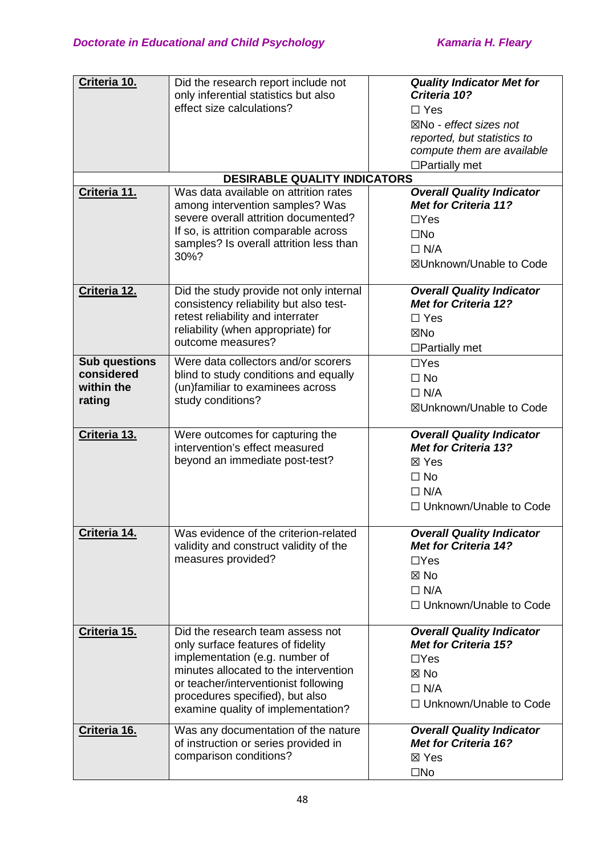| Criteria 10.                                               | Did the research report include not<br>only inferential statistics but also<br>effect size calculations?                                                                                                                                                          | <b>Quality Indicator Met for</b><br>Criteria 10?<br>$\Box$ Yes<br>$\boxtimes$ No - effect sizes not<br>reported, but statistics to<br>compute them are available<br>$\Box$ Partially met |
|------------------------------------------------------------|-------------------------------------------------------------------------------------------------------------------------------------------------------------------------------------------------------------------------------------------------------------------|------------------------------------------------------------------------------------------------------------------------------------------------------------------------------------------|
|                                                            | <b>DESIRABLE QUALITY INDICATORS</b>                                                                                                                                                                                                                               |                                                                                                                                                                                          |
| Criteria 11.                                               | Was data available on attrition rates<br>among intervention samples? Was<br>severe overall attrition documented?<br>If so, is attrition comparable across<br>samples? Is overall attrition less than<br>30%?                                                      | <b>Overall Quality Indicator</b><br><b>Met for Criteria 11?</b><br>$\Box$ Yes<br>$\square$ No<br>$\Box$ N/A<br>⊠Unknown/Unable to Code                                                   |
| Criteria 12.                                               | Did the study provide not only internal<br>consistency reliability but also test-<br>retest reliability and interrater<br>reliability (when appropriate) for<br>outcome measures?                                                                                 | <b>Overall Quality Indicator</b><br><b>Met for Criteria 12?</b><br>$\Box$ Yes<br>⊠No<br>$\Box$ Partially met                                                                             |
| <b>Sub questions</b><br>considered<br>within the<br>rating | Were data collectors and/or scorers<br>blind to study conditions and equally<br>(un)familiar to examinees across<br>study conditions?                                                                                                                             | $\Box$ Yes<br>$\Box$ No<br>$\Box$ N/A<br>⊠Unknown/Unable to Code                                                                                                                         |
| Criteria 13.                                               | Were outcomes for capturing the<br>intervention's effect measured<br>beyond an immediate post-test?                                                                                                                                                               | <b>Overall Quality Indicator</b><br><b>Met for Criteria 13?</b><br>⊠ Yes<br>$\Box$ No<br>$\Box$ N/A<br>□ Unknown/Unable to Code                                                          |
| Criteria 14.                                               | Was evidence of the criterion-related<br>validity and construct validity of the<br>measures provided?                                                                                                                                                             | <b>Overall Quality Indicator</b><br><b>Met for Criteria 14?</b><br>$\Box$ Yes<br>$\boxtimes$ No<br>$\Box$ N/A<br>□ Unknown/Unable to Code                                                |
| Criteria 15.                                               | Did the research team assess not<br>only surface features of fidelity<br>implementation (e.g. number of<br>minutes allocated to the intervention<br>or teacher/interventionist following<br>procedures specified), but also<br>examine quality of implementation? | <b>Overall Quality Indicator</b><br><b>Met for Criteria 15?</b><br>$\Box$ Yes<br>$\boxtimes$ No<br>$\Box$ N/A<br>$\Box$ Unknown/Unable to Code                                           |
| Criteria 16.                                               | Was any documentation of the nature<br>of instruction or series provided in<br>comparison conditions?                                                                                                                                                             | <b>Overall Quality Indicator</b><br><b>Met for Criteria 16?</b><br>⊠ Yes<br>$\square$ No                                                                                                 |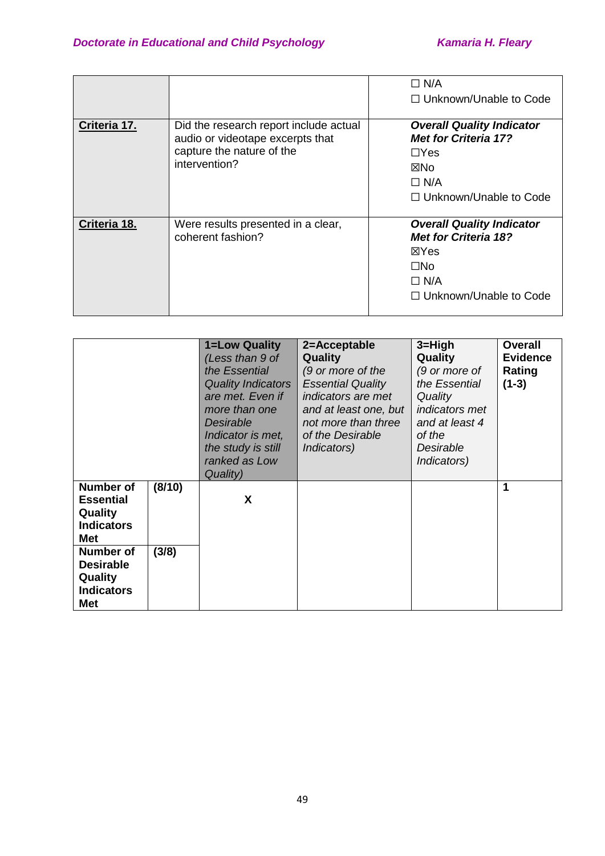|              |                                                                                                                          | $\Box$ N/A<br>$\Box$ Unknown/Unable to Code                                                                                                 |
|--------------|--------------------------------------------------------------------------------------------------------------------------|---------------------------------------------------------------------------------------------------------------------------------------------|
| Criteria 17. | Did the research report include actual<br>audio or videotape excerpts that<br>capture the nature of the<br>intervention? | <b>Overall Quality Indicator</b><br><b>Met for Criteria 17?</b><br>$\Box$ Yes<br>⊠No<br>$\Box$ N/A<br>$\Box$ Unknown/Unable to Code         |
| Criteria 18. | Were results presented in a clear,<br>coherent fashion?                                                                  | <b>Overall Quality Indicator</b><br><b>Met for Criteria 18?</b><br><b>X</b> Yes<br>$\Box$ No<br>$\Box$ N/A<br>$\Box$ Unknown/Unable to Code |

|                                                                                                                                                            |                 | 1=Low Quality<br>(Less than 9 of<br>the Essential<br><b>Quality Indicators</b><br>are met. Even if<br>more than one<br>Desirable<br>Indicator is met,<br>the study is still<br>ranked as Low<br>Quality) | 2=Acceptable<br><b>Quality</b><br>(9 or more of the<br><b>Essential Quality</b><br>indicators are met<br>and at least one, but<br>not more than three<br>of the Desirable<br><i>Indicators</i> ) | $3 = High$<br>Quality<br>(9 or more of<br>the Essential<br>Quality<br><i>indicators met</i><br>and at least 4<br>of the<br>Desirable<br>Indicators) | <b>Overall</b><br><b>Evidence</b><br>Rating<br>$(1-3)$ |
|------------------------------------------------------------------------------------------------------------------------------------------------------------|-----------------|----------------------------------------------------------------------------------------------------------------------------------------------------------------------------------------------------------|--------------------------------------------------------------------------------------------------------------------------------------------------------------------------------------------------|-----------------------------------------------------------------------------------------------------------------------------------------------------|--------------------------------------------------------|
| <b>Number of</b><br><b>Essential</b><br>Quality<br><b>Indicators</b><br>Met<br><b>Number of</b><br><b>Desirable</b><br>Quality<br><b>Indicators</b><br>Met | (8/10)<br>(3/8) | X                                                                                                                                                                                                        |                                                                                                                                                                                                  |                                                                                                                                                     | 1                                                      |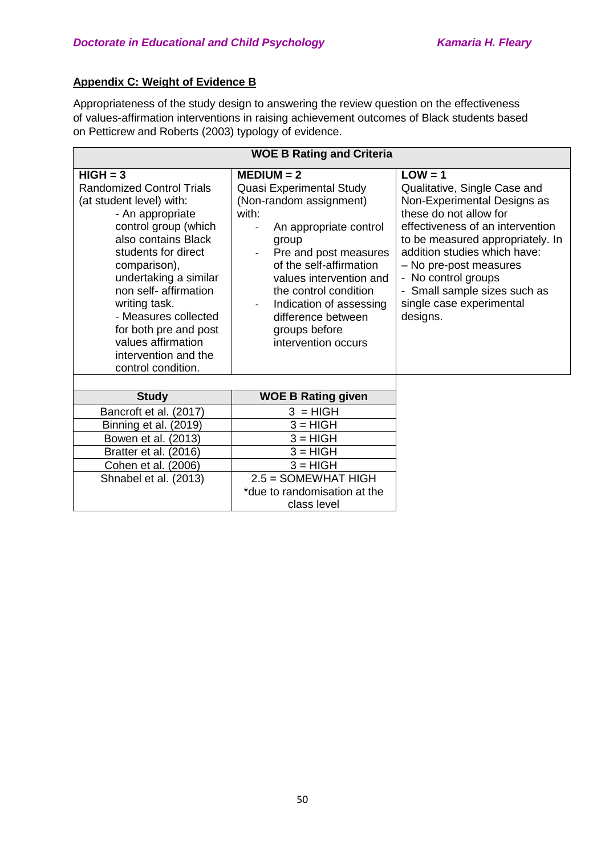## **Appendix C: Weight of Evidence B**

Appropriateness of the study design to answering the review question on the effectiveness of values-affirmation interventions in raising achievement outcomes of Black students based on Petticrew and Roberts (2003) typology of evidence.

| <b>WOE B Rating and Criteria</b>                                                                                                                                                                                                                                                                                                                                             |                                                                                                                                                                                                                                                                                                                  |                                                                                                                                                                                                                                                                                                                                     |  |  |
|------------------------------------------------------------------------------------------------------------------------------------------------------------------------------------------------------------------------------------------------------------------------------------------------------------------------------------------------------------------------------|------------------------------------------------------------------------------------------------------------------------------------------------------------------------------------------------------------------------------------------------------------------------------------------------------------------|-------------------------------------------------------------------------------------------------------------------------------------------------------------------------------------------------------------------------------------------------------------------------------------------------------------------------------------|--|--|
| $HIGH = 3$<br><b>Randomized Control Trials</b><br>(at student level) with:<br>- An appropriate<br>control group (which<br>also contains Black<br>students for direct<br>comparison),<br>undertaking a similar<br>non self- affirmation<br>writing task.<br>- Measures collected<br>for both pre and post<br>values affirmation<br>intervention and the<br>control condition. | $MEDIUM = 2$<br>Quasi Experimental Study<br>(Non-random assignment)<br>with:<br>An appropriate control<br>group<br>Pre and post measures<br>of the self-affirmation<br>values intervention and<br>the control condition<br>Indication of assessing<br>difference between<br>groups before<br>intervention occurs | $LOW = 1$<br>Qualitative, Single Case and<br>Non-Experimental Designs as<br>these do not allow for<br>effectiveness of an intervention<br>to be measured appropriately. In<br>addition studies which have:<br>- No pre-post measures<br>- No control groups<br>- Small sample sizes such as<br>single case experimental<br>designs. |  |  |
| <b>Study</b>                                                                                                                                                                                                                                                                                                                                                                 | <b>WOE B Rating given</b>                                                                                                                                                                                                                                                                                        |                                                                                                                                                                                                                                                                                                                                     |  |  |
| Bancroft et al. (2017)                                                                                                                                                                                                                                                                                                                                                       | $3 = HIGH$                                                                                                                                                                                                                                                                                                       |                                                                                                                                                                                                                                                                                                                                     |  |  |
| Binning et al. (2019)                                                                                                                                                                                                                                                                                                                                                        | $3 = HIGH$                                                                                                                                                                                                                                                                                                       |                                                                                                                                                                                                                                                                                                                                     |  |  |
| Bowen et al. (2013)                                                                                                                                                                                                                                                                                                                                                          | $3 = HIGH$                                                                                                                                                                                                                                                                                                       |                                                                                                                                                                                                                                                                                                                                     |  |  |
| Bratter et al. (2016)                                                                                                                                                                                                                                                                                                                                                        | $3 = HIGH$                                                                                                                                                                                                                                                                                                       |                                                                                                                                                                                                                                                                                                                                     |  |  |
| Cohen et al. (2006)                                                                                                                                                                                                                                                                                                                                                          | $3 = HIGH$                                                                                                                                                                                                                                                                                                       |                                                                                                                                                                                                                                                                                                                                     |  |  |
| Shnabel et al. (2013)                                                                                                                                                                                                                                                                                                                                                        | $2.5 =$ SOMEWHAT HIGH                                                                                                                                                                                                                                                                                            |                                                                                                                                                                                                                                                                                                                                     |  |  |
|                                                                                                                                                                                                                                                                                                                                                                              | *due to randomisation at the                                                                                                                                                                                                                                                                                     |                                                                                                                                                                                                                                                                                                                                     |  |  |
|                                                                                                                                                                                                                                                                                                                                                                              | class level                                                                                                                                                                                                                                                                                                      |                                                                                                                                                                                                                                                                                                                                     |  |  |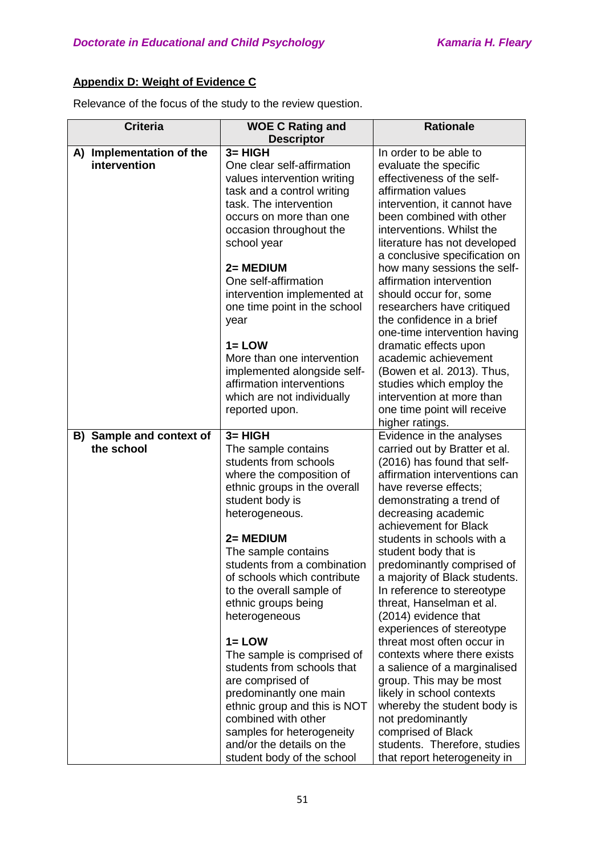## **Appendix D: Weight of Evidence C**

Relevance of the focus of the study to the review question.

| <b>Criteria</b>                        | <b>WOE C Rating and</b><br><b>Descriptor</b>                                                                                                                                                                                                                                                                                                                                                                                                                                                                                                                              | <b>Rationale</b>                                                                                                                                                                                                                                                                                                                                                                                                                                                                                                                                                                                                                                                                                                                  |
|----------------------------------------|---------------------------------------------------------------------------------------------------------------------------------------------------------------------------------------------------------------------------------------------------------------------------------------------------------------------------------------------------------------------------------------------------------------------------------------------------------------------------------------------------------------------------------------------------------------------------|-----------------------------------------------------------------------------------------------------------------------------------------------------------------------------------------------------------------------------------------------------------------------------------------------------------------------------------------------------------------------------------------------------------------------------------------------------------------------------------------------------------------------------------------------------------------------------------------------------------------------------------------------------------------------------------------------------------------------------------|
| A) Implementation of the               | $3 = HIGH$                                                                                                                                                                                                                                                                                                                                                                                                                                                                                                                                                                | In order to be able to                                                                                                                                                                                                                                                                                                                                                                                                                                                                                                                                                                                                                                                                                                            |
| intervention                           | One clear self-affirmation<br>values intervention writing<br>task and a control writing<br>task. The intervention<br>occurs on more than one<br>occasion throughout the                                                                                                                                                                                                                                                                                                                                                                                                   | evaluate the specific<br>effectiveness of the self-<br>affirmation values<br>intervention, it cannot have<br>been combined with other<br>interventions. Whilst the                                                                                                                                                                                                                                                                                                                                                                                                                                                                                                                                                                |
|                                        | school year<br>2= MEDIUM<br>One self-affirmation<br>intervention implemented at<br>one time point in the school<br>year                                                                                                                                                                                                                                                                                                                                                                                                                                                   | literature has not developed<br>a conclusive specification on<br>how many sessions the self-<br>affirmation intervention<br>should occur for, some<br>researchers have critiqued<br>the confidence in a brief                                                                                                                                                                                                                                                                                                                                                                                                                                                                                                                     |
|                                        | $1 = LOW$<br>More than one intervention<br>implemented alongside self-<br>affirmation interventions<br>which are not individually<br>reported upon.                                                                                                                                                                                                                                                                                                                                                                                                                       | one-time intervention having<br>dramatic effects upon<br>academic achievement<br>(Bowen et al. 2013). Thus,<br>studies which employ the<br>intervention at more than<br>one time point will receive<br>higher ratings.                                                                                                                                                                                                                                                                                                                                                                                                                                                                                                            |
| B) Sample and context of<br>the school | $3 = HIGH$<br>The sample contains<br>students from schools<br>where the composition of<br>ethnic groups in the overall<br>student body is<br>heterogeneous.<br>2= MEDIUM<br>The sample contains<br>students from a combination<br>of schools which contribute<br>to the overall sample of<br>ethnic groups being<br>heterogeneous<br>$1 = LOW$<br>The sample is comprised of<br>students from schools that<br>are comprised of<br>predominantly one main<br>ethnic group and this is NOT<br>combined with other<br>samples for heterogeneity<br>and/or the details on the | Evidence in the analyses<br>carried out by Bratter et al.<br>(2016) has found that self-<br>affirmation interventions can<br>have reverse effects;<br>demonstrating a trend of<br>decreasing academic<br>achievement for Black<br>students in schools with a<br>student body that is<br>predominantly comprised of<br>a majority of Black students.<br>In reference to stereotype<br>threat, Hanselman et al.<br>(2014) evidence that<br>experiences of stereotype<br>threat most often occur in<br>contexts where there exists<br>a salience of a marginalised<br>group. This may be most<br>likely in school contexts<br>whereby the student body is<br>not predominantly<br>comprised of Black<br>students. Therefore, studies |